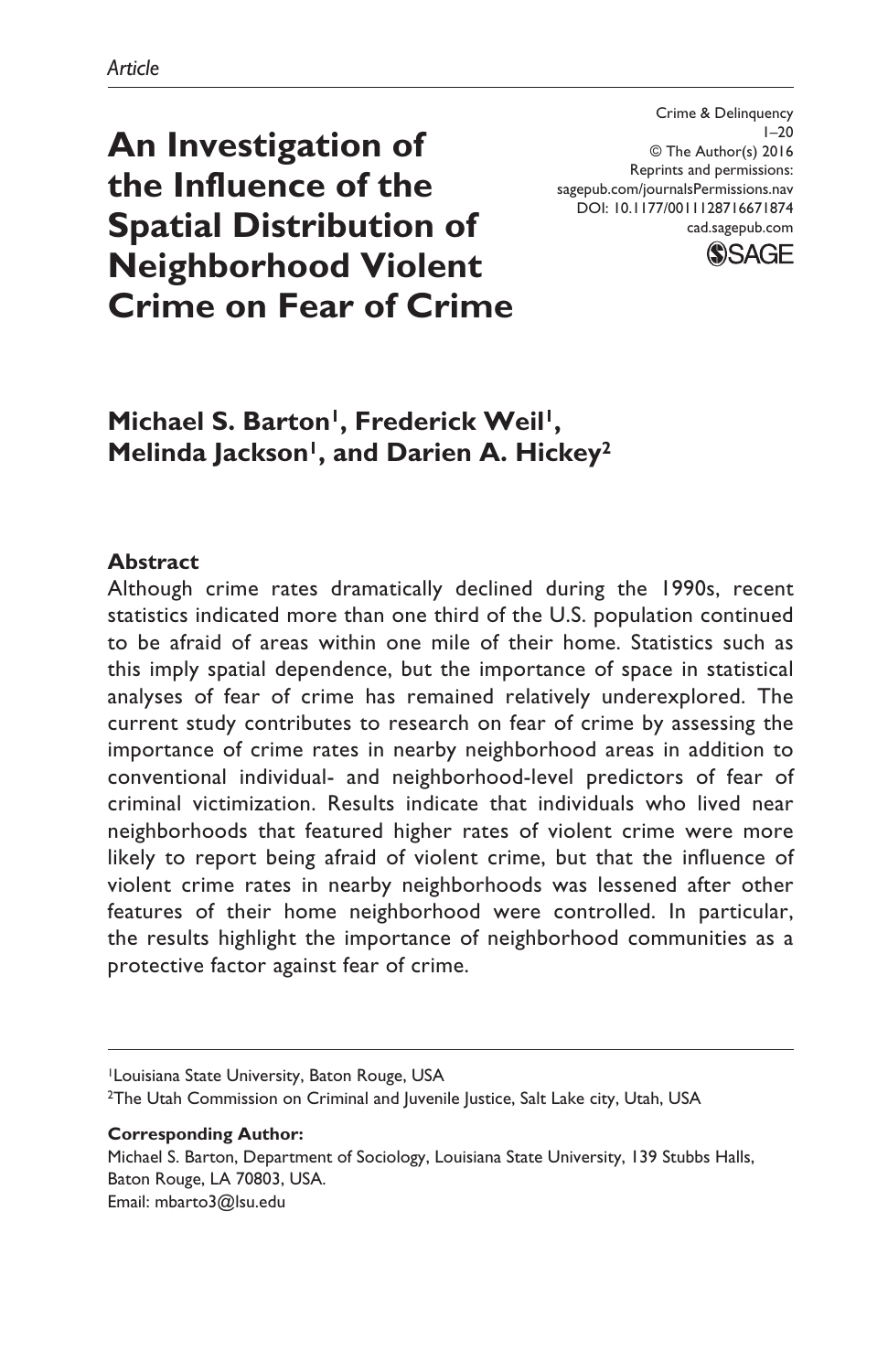Crime & Delinquency  $1 - 20$ © The Author(s) 2016 Reprints and permissions: sagepub.com/journalsPermissions.nav DOI: 10.1177/0011128716671874 cad.sagepub.com



# **An Investigation of the Influence of the Spatial Distribution of Neighborhood Violent Crime on Fear of Crime**

Michael S. Barton<sup>1</sup>, Frederick Weil<sup>1</sup>, Melinda Jackson<sup>1</sup>, and Darien A. Hickey<sup>2</sup>

### **Abstract**

Although crime rates dramatically declined during the 1990s, recent statistics indicated more than one third of the U.S. population continued to be afraid of areas within one mile of their home. Statistics such as this imply spatial dependence, but the importance of space in statistical analyses of fear of crime has remained relatively underexplored. The current study contributes to research on fear of crime by assessing the importance of crime rates in nearby neighborhood areas in addition to conventional individual- and neighborhood-level predictors of fear of criminal victimization. Results indicate that individuals who lived near neighborhoods that featured higher rates of violent crime were more likely to report being afraid of violent crime, but that the influence of violent crime rates in nearby neighborhoods was lessened after other features of their home neighborhood were controlled. In particular, the results highlight the importance of neighborhood communities as a protective factor against fear of crime.

<sup>1</sup>Louisiana State University, Baton Rouge, USA

<sup>&</sup>lt;sup>2</sup>The Utah Commission on Criminal and Juvenile Justice, Salt Lake city, Utah, USA

**Corresponding Author:**

Michael S. Barton, Department of Sociology, Louisiana State University, 139 Stubbs Halls, Baton Rouge, LA 70803, USA. Email: [mbarto3@lsu.edu](mailto:mbarto3@lsu.edu)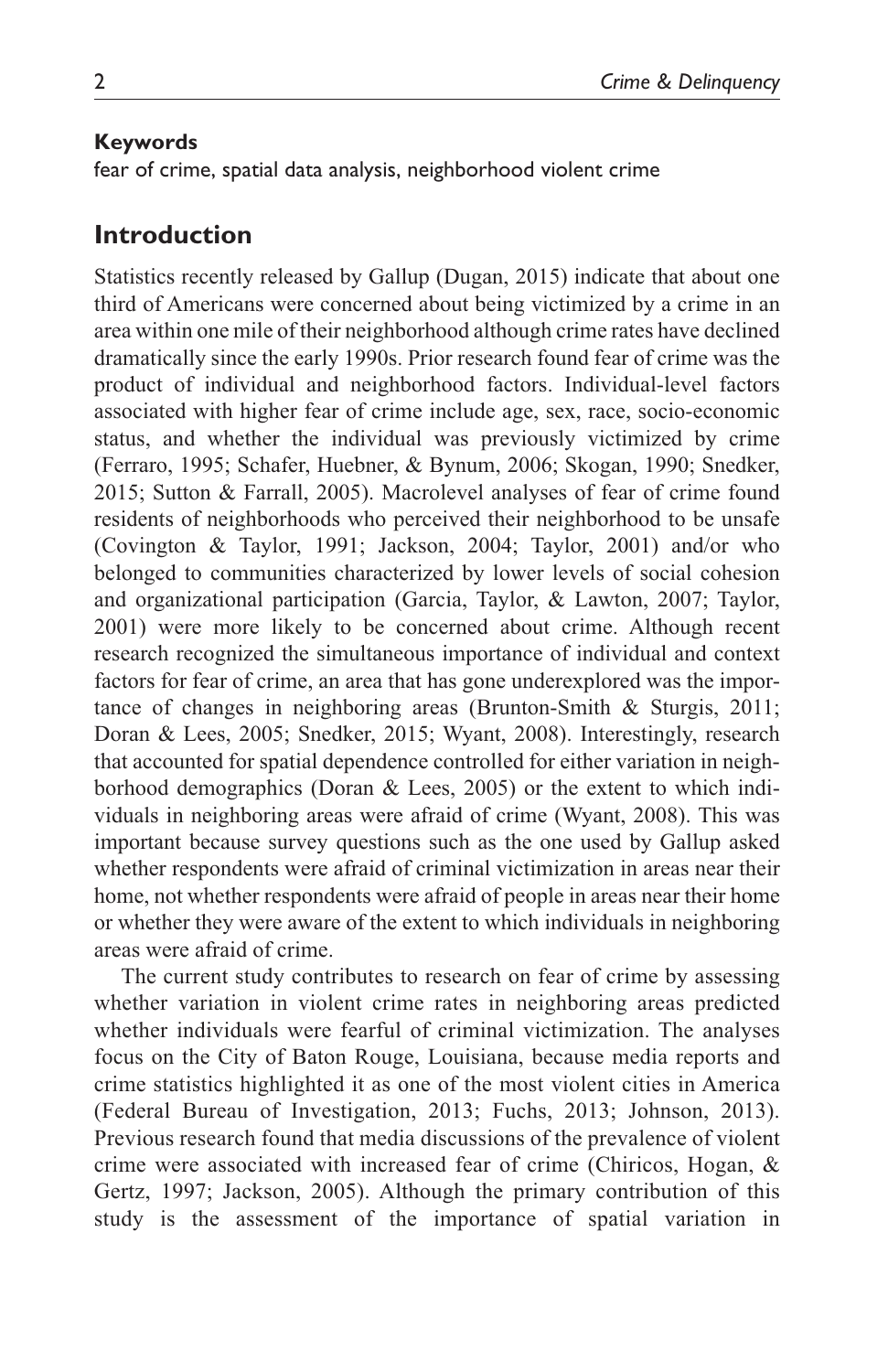### **Keywords**

fear of crime, spatial data analysis, neighborhood violent crime

# **Introduction**

Statistics recently released by Gallup (Dugan, 2015) indicate that about one third of Americans were concerned about being victimized by a crime in an area within one mile of their neighborhood although crime rates have declined dramatically since the early 1990s. Prior research found fear of crime was the product of individual and neighborhood factors. Individual-level factors associated with higher fear of crime include age, sex, race, socio-economic status, and whether the individual was previously victimized by crime (Ferraro, 1995; Schafer, Huebner, & Bynum, 2006; Skogan, 1990; Snedker, 2015; Sutton & Farrall, 2005). Macrolevel analyses of fear of crime found residents of neighborhoods who perceived their neighborhood to be unsafe (Covington & Taylor, 1991; Jackson, 2004; Taylor, 2001) and/or who belonged to communities characterized by lower levels of social cohesion and organizational participation (Garcia, Taylor, & Lawton, 2007; Taylor, 2001) were more likely to be concerned about crime. Although recent research recognized the simultaneous importance of individual and context factors for fear of crime, an area that has gone underexplored was the importance of changes in neighboring areas (Brunton-Smith & Sturgis, 2011; Doran & Lees, 2005; Snedker, 2015; Wyant, 2008). Interestingly, research that accounted for spatial dependence controlled for either variation in neighborhood demographics (Doran & Lees, 2005) or the extent to which individuals in neighboring areas were afraid of crime (Wyant, 2008). This was important because survey questions such as the one used by Gallup asked whether respondents were afraid of criminal victimization in areas near their home, not whether respondents were afraid of people in areas near their home or whether they were aware of the extent to which individuals in neighboring areas were afraid of crime.

The current study contributes to research on fear of crime by assessing whether variation in violent crime rates in neighboring areas predicted whether individuals were fearful of criminal victimization. The analyses focus on the City of Baton Rouge, Louisiana, because media reports and crime statistics highlighted it as one of the most violent cities in America (Federal Bureau of Investigation, 2013; Fuchs, 2013; Johnson, 2013). Previous research found that media discussions of the prevalence of violent crime were associated with increased fear of crime (Chiricos, Hogan, & Gertz, 1997; Jackson, 2005). Although the primary contribution of this study is the assessment of the importance of spatial variation in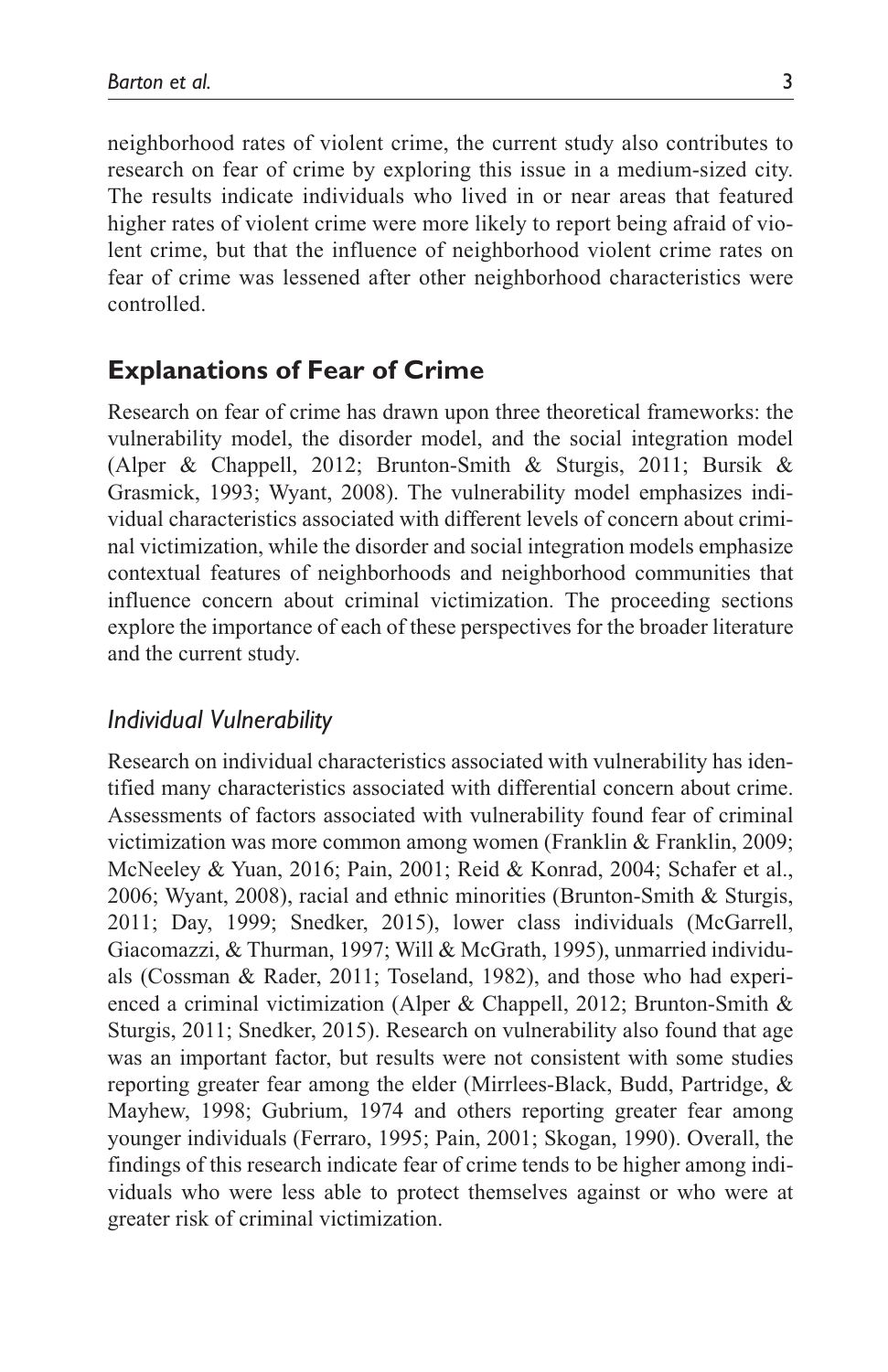neighborhood rates of violent crime, the current study also contributes to research on fear of crime by exploring this issue in a medium-sized city. The results indicate individuals who lived in or near areas that featured higher rates of violent crime were more likely to report being afraid of violent crime, but that the influence of neighborhood violent crime rates on fear of crime was lessened after other neighborhood characteristics were controlled.

# **Explanations of Fear of Crime**

Research on fear of crime has drawn upon three theoretical frameworks: the vulnerability model, the disorder model, and the social integration model (Alper & Chappell, 2012; Brunton-Smith & Sturgis, 2011; Bursik & Grasmick, 1993; Wyant, 2008). The vulnerability model emphasizes individual characteristics associated with different levels of concern about criminal victimization, while the disorder and social integration models emphasize contextual features of neighborhoods and neighborhood communities that influence concern about criminal victimization. The proceeding sections explore the importance of each of these perspectives for the broader literature and the current study.

# *Individual Vulnerability*

Research on individual characteristics associated with vulnerability has identified many characteristics associated with differential concern about crime. Assessments of factors associated with vulnerability found fear of criminal victimization was more common among women (Franklin & Franklin, 2009; McNeeley & Yuan, 2016; Pain, 2001; Reid & Konrad, 2004; Schafer et al., 2006; Wyant, 2008), racial and ethnic minorities (Brunton-Smith & Sturgis, 2011; Day, 1999; Snedker, 2015), lower class individuals (McGarrell, Giacomazzi, & Thurman, 1997; Will & McGrath, 1995), unmarried individuals (Cossman & Rader, 2011; Toseland, 1982), and those who had experienced a criminal victimization (Alper & Chappell, 2012; Brunton-Smith & Sturgis, 2011; Snedker, 2015). Research on vulnerability also found that age was an important factor, but results were not consistent with some studies reporting greater fear among the elder (Mirrlees-Black, Budd, Partridge, & Mayhew, 1998; Gubrium, 1974 and others reporting greater fear among younger individuals (Ferraro, 1995; Pain, 2001; Skogan, 1990). Overall, the findings of this research indicate fear of crime tends to be higher among individuals who were less able to protect themselves against or who were at greater risk of criminal victimization.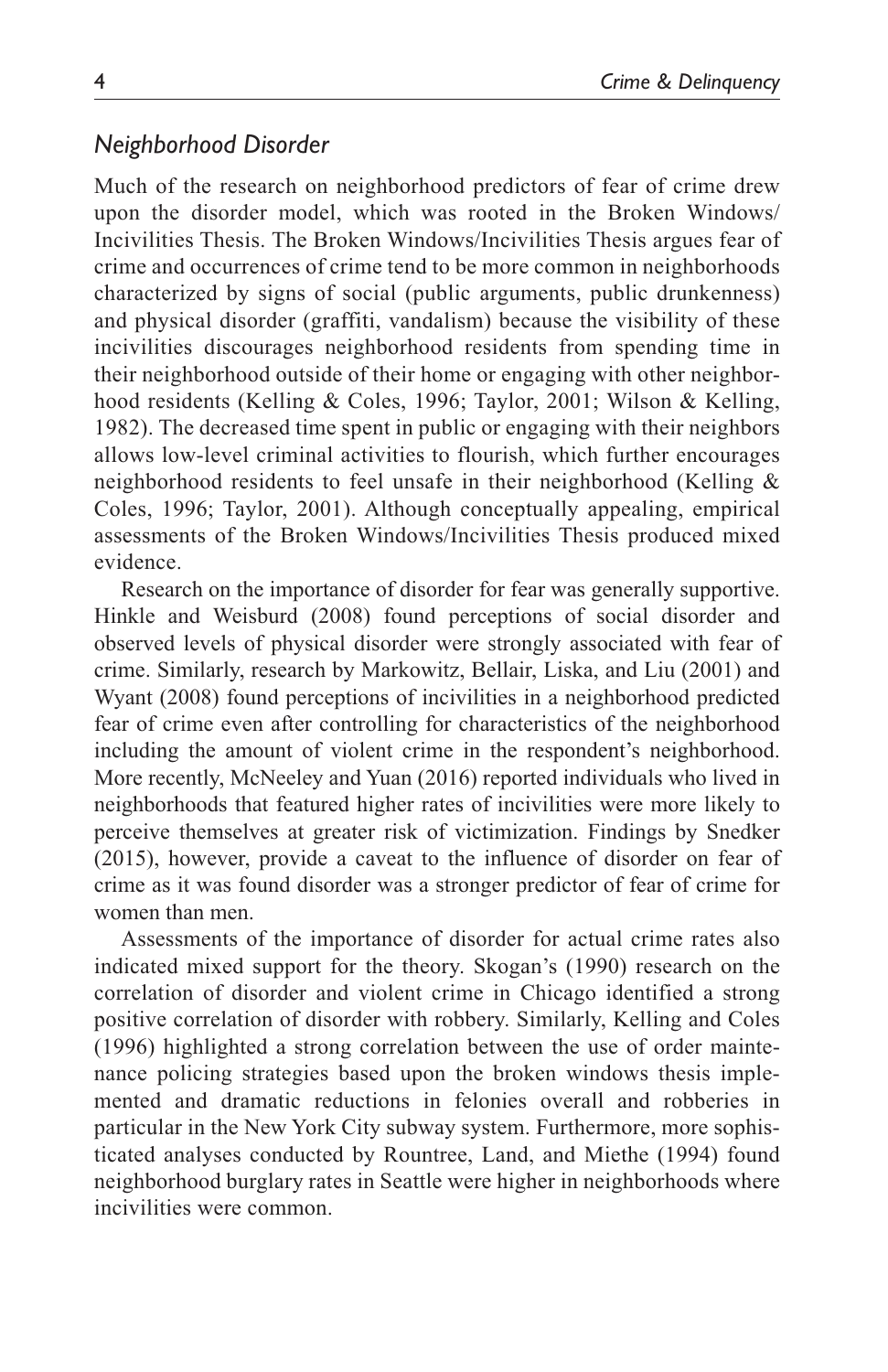# *Neighborhood Disorder*

Much of the research on neighborhood predictors of fear of crime drew upon the disorder model, which was rooted in the Broken Windows/ Incivilities Thesis. The Broken Windows/Incivilities Thesis argues fear of crime and occurrences of crime tend to be more common in neighborhoods characterized by signs of social (public arguments, public drunkenness) and physical disorder (graffiti, vandalism) because the visibility of these incivilities discourages neighborhood residents from spending time in their neighborhood outside of their home or engaging with other neighborhood residents (Kelling & Coles, 1996; Taylor, 2001; Wilson & Kelling, 1982). The decreased time spent in public or engaging with their neighbors allows low-level criminal activities to flourish, which further encourages neighborhood residents to feel unsafe in their neighborhood (Kelling & Coles, 1996; Taylor, 2001). Although conceptually appealing, empirical assessments of the Broken Windows/Incivilities Thesis produced mixed evidence.

Research on the importance of disorder for fear was generally supportive. Hinkle and Weisburd (2008) found perceptions of social disorder and observed levels of physical disorder were strongly associated with fear of crime. Similarly, research by Markowitz, Bellair, Liska, and Liu (2001) and Wyant (2008) found perceptions of incivilities in a neighborhood predicted fear of crime even after controlling for characteristics of the neighborhood including the amount of violent crime in the respondent's neighborhood. More recently, McNeeley and Yuan (2016) reported individuals who lived in neighborhoods that featured higher rates of incivilities were more likely to perceive themselves at greater risk of victimization. Findings by Snedker (2015), however, provide a caveat to the influence of disorder on fear of crime as it was found disorder was a stronger predictor of fear of crime for women than men.

Assessments of the importance of disorder for actual crime rates also indicated mixed support for the theory. Skogan's (1990) research on the correlation of disorder and violent crime in Chicago identified a strong positive correlation of disorder with robbery. Similarly, Kelling and Coles (1996) highlighted a strong correlation between the use of order maintenance policing strategies based upon the broken windows thesis implemented and dramatic reductions in felonies overall and robberies in particular in the New York City subway system. Furthermore, more sophisticated analyses conducted by Rountree, Land, and Miethe (1994) found neighborhood burglary rates in Seattle were higher in neighborhoods where incivilities were common.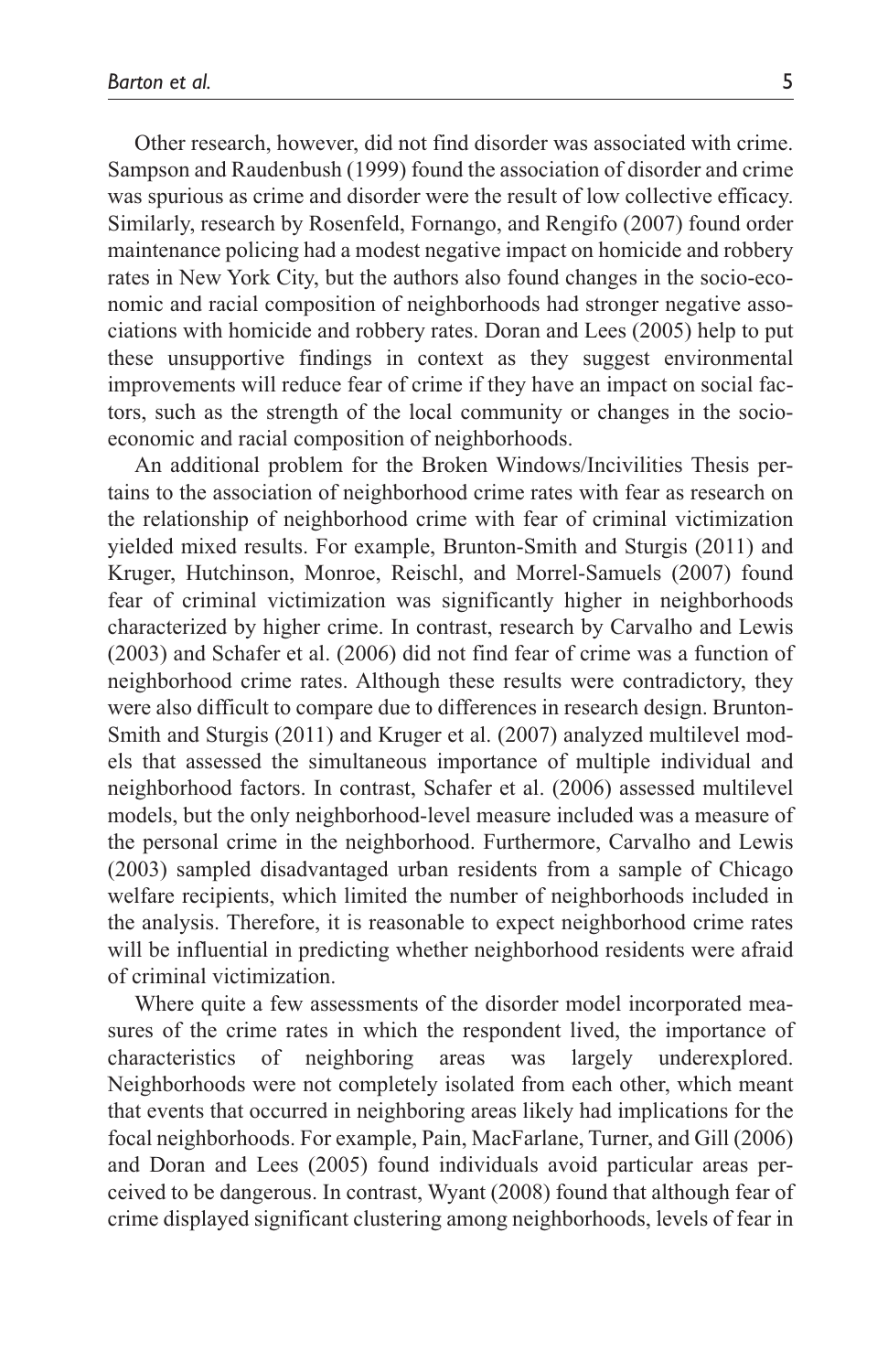Other research, however, did not find disorder was associated with crime. Sampson and Raudenbush (1999) found the association of disorder and crime was spurious as crime and disorder were the result of low collective efficacy. Similarly, research by Rosenfeld, Fornango, and Rengifo (2007) found order maintenance policing had a modest negative impact on homicide and robbery rates in New York City, but the authors also found changes in the socio-economic and racial composition of neighborhoods had stronger negative associations with homicide and robbery rates. Doran and Lees (2005) help to put these unsupportive findings in context as they suggest environmental improvements will reduce fear of crime if they have an impact on social factors, such as the strength of the local community or changes in the socioeconomic and racial composition of neighborhoods.

An additional problem for the Broken Windows/Incivilities Thesis pertains to the association of neighborhood crime rates with fear as research on the relationship of neighborhood crime with fear of criminal victimization yielded mixed results. For example, Brunton-Smith and Sturgis (2011) and Kruger, Hutchinson, Monroe, Reischl, and Morrel-Samuels (2007) found fear of criminal victimization was significantly higher in neighborhoods characterized by higher crime. In contrast, research by Carvalho and Lewis (2003) and Schafer et al. (2006) did not find fear of crime was a function of neighborhood crime rates. Although these results were contradictory, they were also difficult to compare due to differences in research design. Brunton-Smith and Sturgis (2011) and Kruger et al. (2007) analyzed multilevel models that assessed the simultaneous importance of multiple individual and neighborhood factors. In contrast, Schafer et al. (2006) assessed multilevel models, but the only neighborhood-level measure included was a measure of the personal crime in the neighborhood. Furthermore, Carvalho and Lewis (2003) sampled disadvantaged urban residents from a sample of Chicago welfare recipients, which limited the number of neighborhoods included in the analysis. Therefore, it is reasonable to expect neighborhood crime rates will be influential in predicting whether neighborhood residents were afraid of criminal victimization.

Where quite a few assessments of the disorder model incorporated measures of the crime rates in which the respondent lived, the importance of characteristics of neighboring areas was largely underexplored. Neighborhoods were not completely isolated from each other, which meant that events that occurred in neighboring areas likely had implications for the focal neighborhoods. For example, Pain, MacFarlane, Turner, and Gill (2006) and Doran and Lees (2005) found individuals avoid particular areas perceived to be dangerous. In contrast, Wyant (2008) found that although fear of crime displayed significant clustering among neighborhoods, levels of fear in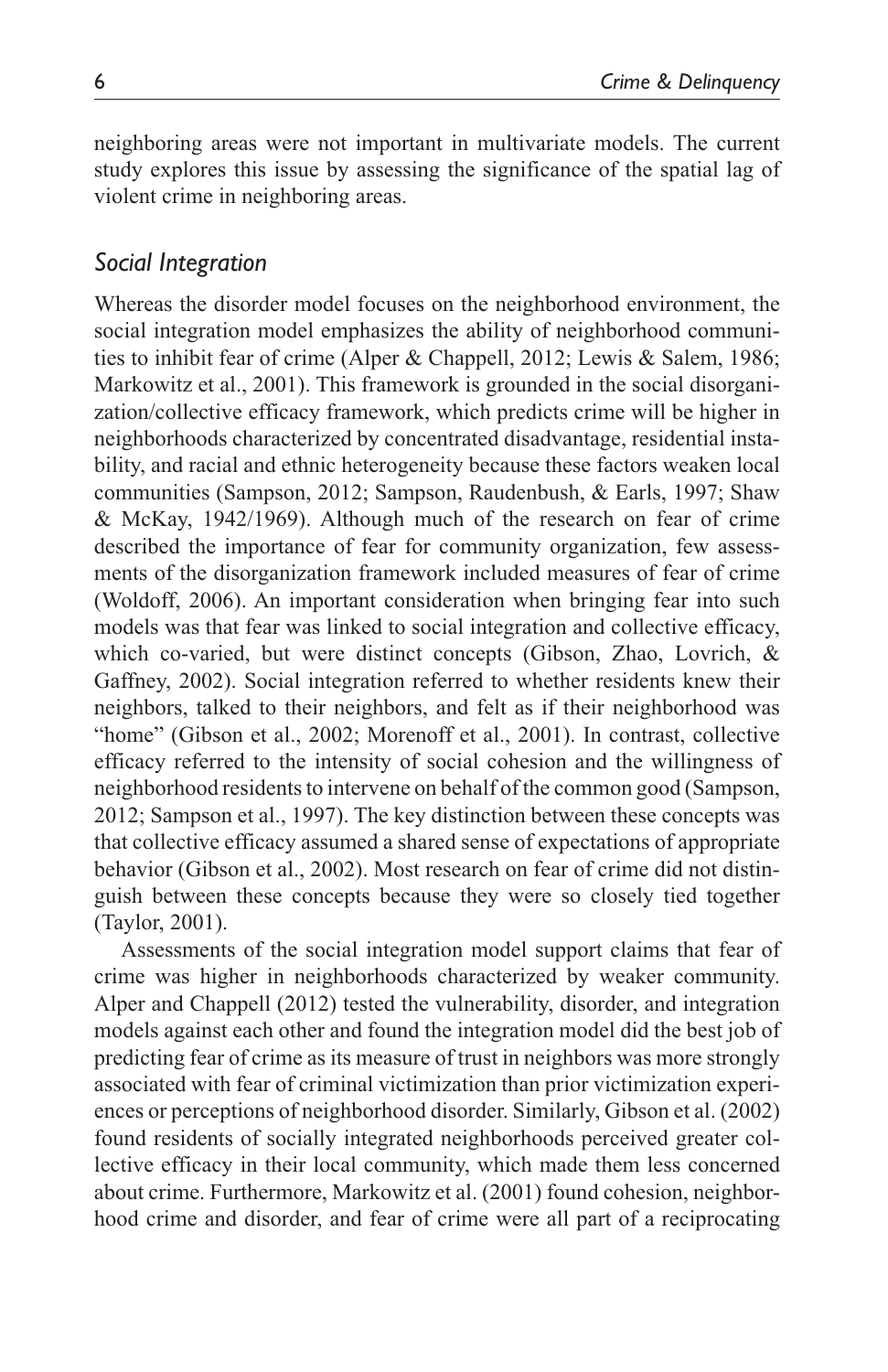neighboring areas were not important in multivariate models. The current study explores this issue by assessing the significance of the spatial lag of violent crime in neighboring areas.

# *Social Integration*

Whereas the disorder model focuses on the neighborhood environment, the social integration model emphasizes the ability of neighborhood communities to inhibit fear of crime (Alper & Chappell, 2012; Lewis & Salem, 1986; Markowitz et al., 2001). This framework is grounded in the social disorganization/collective efficacy framework, which predicts crime will be higher in neighborhoods characterized by concentrated disadvantage, residential instability, and racial and ethnic heterogeneity because these factors weaken local communities (Sampson, 2012; Sampson, Raudenbush, & Earls, 1997; Shaw & McKay, 1942/1969). Although much of the research on fear of crime described the importance of fear for community organization, few assessments of the disorganization framework included measures of fear of crime (Woldoff, 2006). An important consideration when bringing fear into such models was that fear was linked to social integration and collective efficacy, which co-varied, but were distinct concepts (Gibson, Zhao, Lovrich, & Gaffney, 2002). Social integration referred to whether residents knew their neighbors, talked to their neighbors, and felt as if their neighborhood was "home" (Gibson et al., 2002; Morenoff et al., 2001). In contrast, collective efficacy referred to the intensity of social cohesion and the willingness of neighborhood residents to intervene on behalf of the common good (Sampson, 2012; Sampson et al., 1997). The key distinction between these concepts was that collective efficacy assumed a shared sense of expectations of appropriate behavior (Gibson et al., 2002). Most research on fear of crime did not distinguish between these concepts because they were so closely tied together (Taylor, 2001).

Assessments of the social integration model support claims that fear of crime was higher in neighborhoods characterized by weaker community. Alper and Chappell (2012) tested the vulnerability, disorder, and integration models against each other and found the integration model did the best job of predicting fear of crime as its measure of trust in neighbors was more strongly associated with fear of criminal victimization than prior victimization experiences or perceptions of neighborhood disorder. Similarly, Gibson et al. (2002) found residents of socially integrated neighborhoods perceived greater collective efficacy in their local community, which made them less concerned about crime. Furthermore, Markowitz et al. (2001) found cohesion, neighborhood crime and disorder, and fear of crime were all part of a reciprocating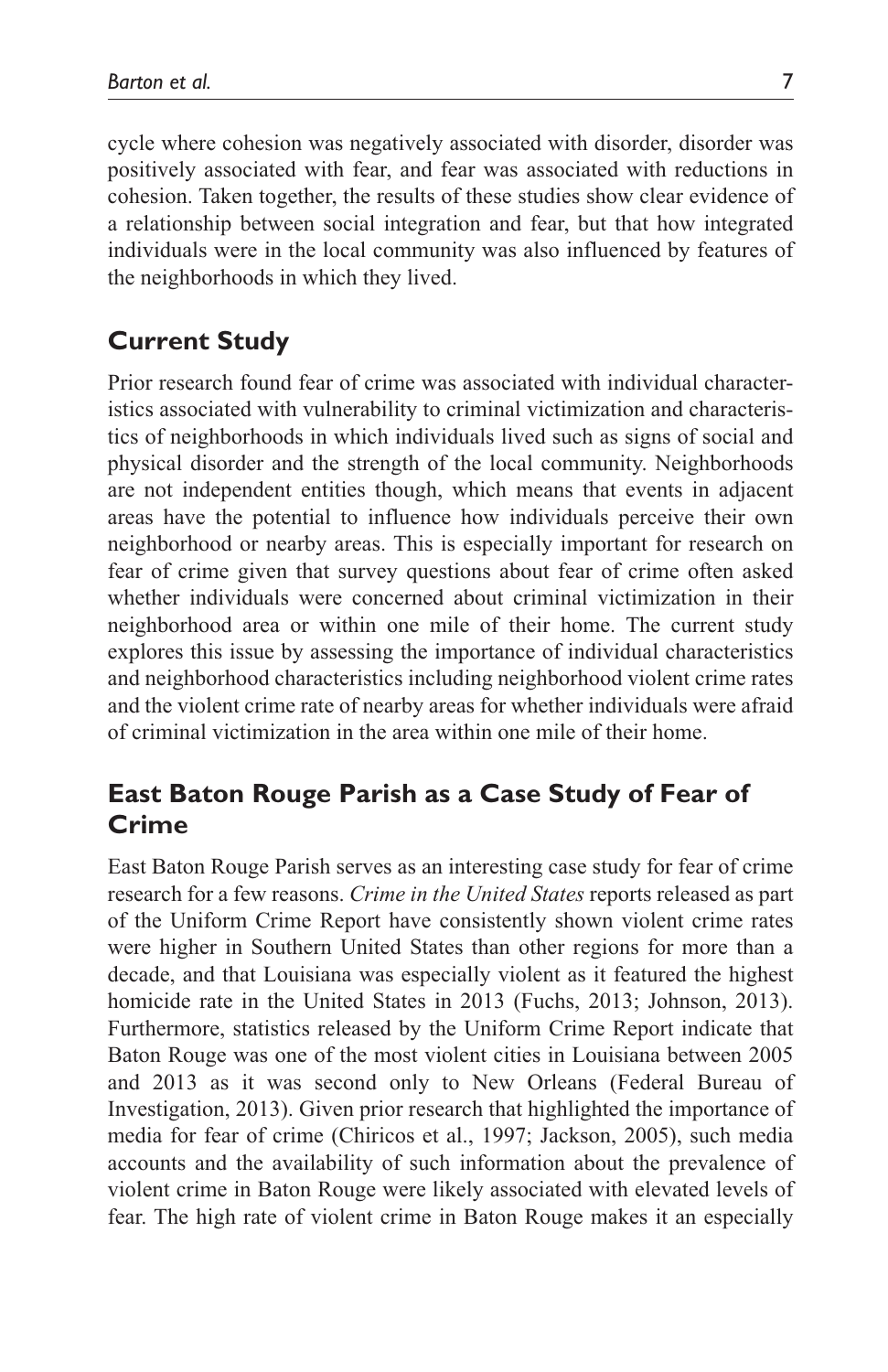cycle where cohesion was negatively associated with disorder, disorder was positively associated with fear, and fear was associated with reductions in cohesion. Taken together, the results of these studies show clear evidence of a relationship between social integration and fear, but that how integrated individuals were in the local community was also influenced by features of the neighborhoods in which they lived.

# **Current Study**

Prior research found fear of crime was associated with individual characteristics associated with vulnerability to criminal victimization and characteristics of neighborhoods in which individuals lived such as signs of social and physical disorder and the strength of the local community. Neighborhoods are not independent entities though, which means that events in adjacent areas have the potential to influence how individuals perceive their own neighborhood or nearby areas. This is especially important for research on fear of crime given that survey questions about fear of crime often asked whether individuals were concerned about criminal victimization in their neighborhood area or within one mile of their home. The current study explores this issue by assessing the importance of individual characteristics and neighborhood characteristics including neighborhood violent crime rates and the violent crime rate of nearby areas for whether individuals were afraid of criminal victimization in the area within one mile of their home.

# **East Baton Rouge Parish as a Case Study of Fear of Crime**

East Baton Rouge Parish serves as an interesting case study for fear of crime research for a few reasons. *Crime in the United States* reports released as part of the Uniform Crime Report have consistently shown violent crime rates were higher in Southern United States than other regions for more than a decade, and that Louisiana was especially violent as it featured the highest homicide rate in the United States in 2013 (Fuchs, 2013; Johnson, 2013). Furthermore, statistics released by the Uniform Crime Report indicate that Baton Rouge was one of the most violent cities in Louisiana between 2005 and 2013 as it was second only to New Orleans (Federal Bureau of Investigation, 2013). Given prior research that highlighted the importance of media for fear of crime (Chiricos et al., 1997; Jackson, 2005), such media accounts and the availability of such information about the prevalence of violent crime in Baton Rouge were likely associated with elevated levels of fear. The high rate of violent crime in Baton Rouge makes it an especially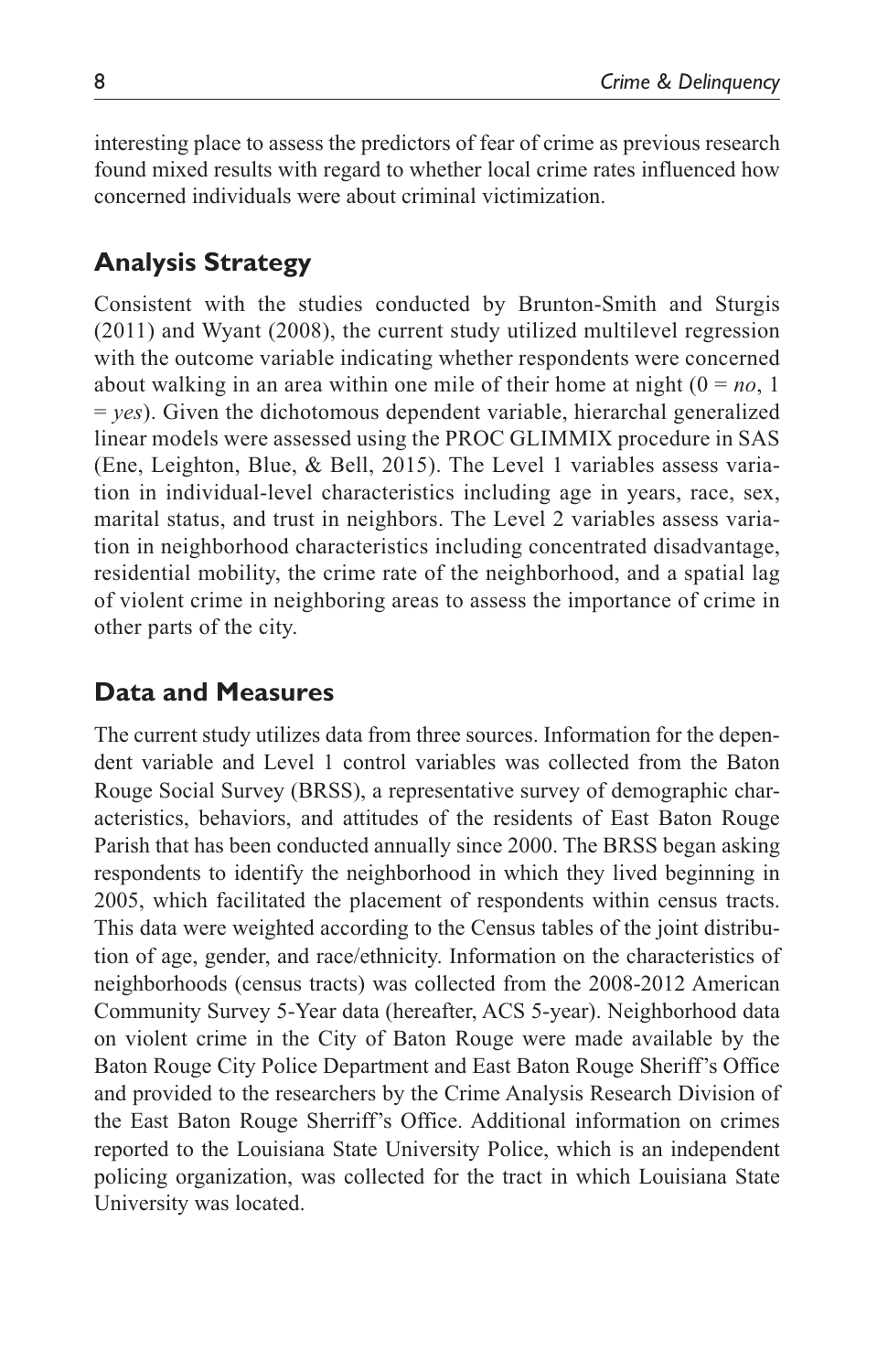interesting place to assess the predictors of fear of crime as previous research found mixed results with regard to whether local crime rates influenced how concerned individuals were about criminal victimization.

# **Analysis Strategy**

Consistent with the studies conducted by Brunton-Smith and Sturgis (2011) and Wyant (2008), the current study utilized multilevel regression with the outcome variable indicating whether respondents were concerned about walking in an area within one mile of their home at night  $(0 = no, 1)$ = *yes*). Given the dichotomous dependent variable, hierarchal generalized linear models were assessed using the PROC GLIMMIX procedure in SAS (Ene, Leighton, Blue, & Bell, 2015). The Level 1 variables assess variation in individual-level characteristics including age in years, race, sex, marital status, and trust in neighbors. The Level 2 variables assess variation in neighborhood characteristics including concentrated disadvantage, residential mobility, the crime rate of the neighborhood, and a spatial lag of violent crime in neighboring areas to assess the importance of crime in other parts of the city.

# **Data and Measures**

The current study utilizes data from three sources. Information for the dependent variable and Level 1 control variables was collected from the Baton Rouge Social Survey (BRSS), a representative survey of demographic characteristics, behaviors, and attitudes of the residents of East Baton Rouge Parish that has been conducted annually since 2000. The BRSS began asking respondents to identify the neighborhood in which they lived beginning in 2005, which facilitated the placement of respondents within census tracts. This data were weighted according to the Census tables of the joint distribution of age, gender, and race/ethnicity. Information on the characteristics of neighborhoods (census tracts) was collected from the 2008-2012 American Community Survey 5-Year data (hereafter, ACS 5-year). Neighborhood data on violent crime in the City of Baton Rouge were made available by the Baton Rouge City Police Department and East Baton Rouge Sheriff's Office and provided to the researchers by the Crime Analysis Research Division of the East Baton Rouge Sherriff's Office. Additional information on crimes reported to the Louisiana State University Police, which is an independent policing organization, was collected for the tract in which Louisiana State University was located.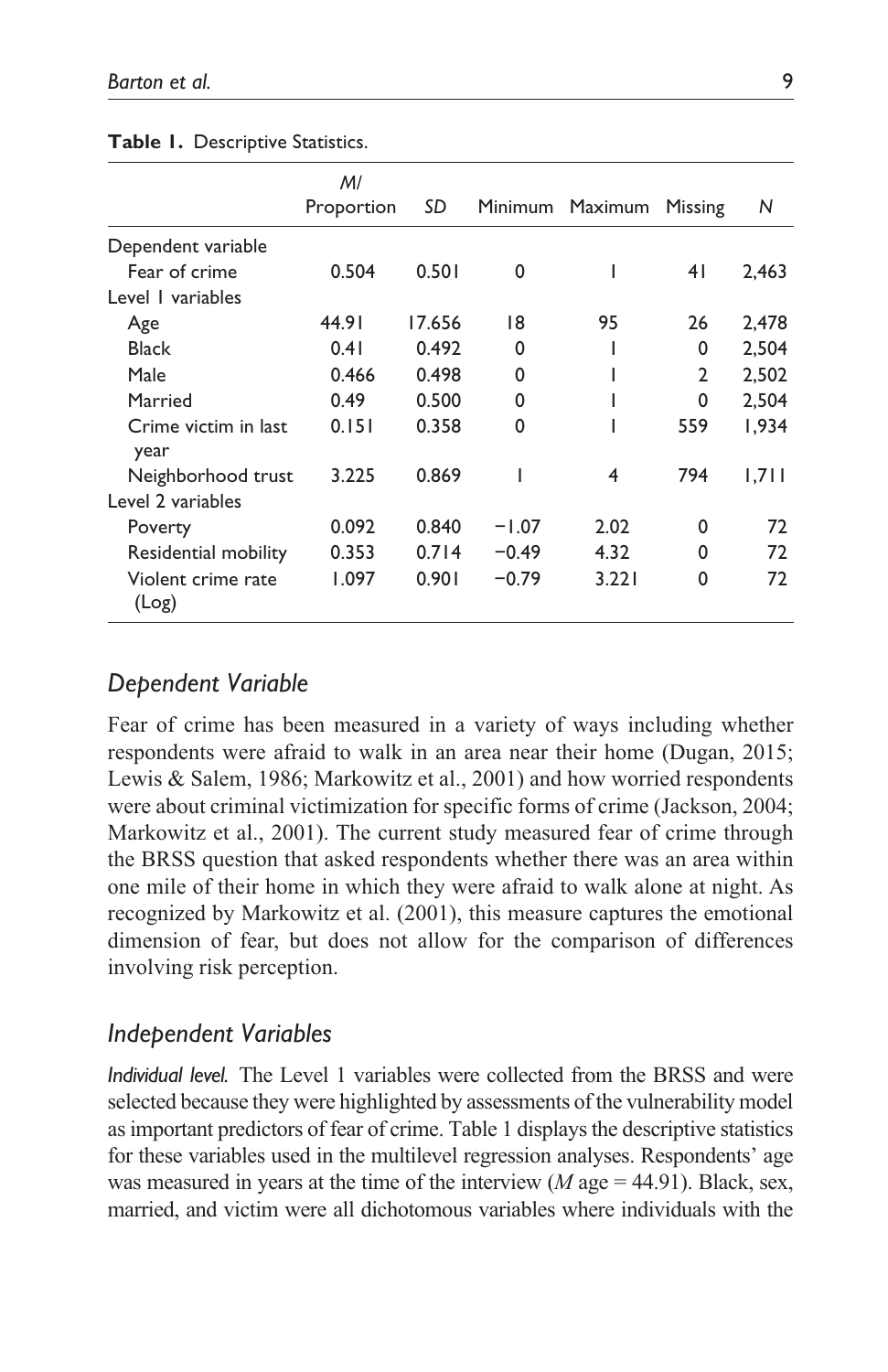|                              | M/         |        |         |         |              |       |
|------------------------------|------------|--------|---------|---------|--------------|-------|
|                              | Proportion | SD     | Minimum | Maximum | Missing      | N     |
| Dependent variable           |            |        |         |         |              |       |
| Fear of crime                | 0.504      | 0.501  | 0       |         | 41           | 2,463 |
| Level I variables            |            |        |         |         |              |       |
| Age                          | 44.91      | 17.656 | 18      | 95      | 26           | 2,478 |
| <b>Black</b>                 | 0.41       | 0.492  | 0       |         | 0            | 2,504 |
| Male                         | 0.466      | 0.498  | 0       |         | $\mathbf{2}$ | 2,502 |
| Married                      | 0.49       | 0.500  | 0       |         | 0            | 2,504 |
| Crime victim in last<br>year | 0.151      | 0.358  | 0       |         | 559          | 1,934 |
| Neighborhood trust           | 3.225      | 0.869  |         | 4       | 794          | 1,711 |
| Level 2 variables            |            |        |         |         |              |       |
| Poverty                      | 0.092      | 0.840  | $-1.07$ | 2.02    | 0            | 72    |
| Residential mobility         | 0.353      | 0.714  | $-0.49$ | 4.32    | 0            | 72    |
| Violent crime rate<br>(Log)  | 1.097      | 0.901  | $-0.79$ | 3.221   | 0            | 72    |

#### **Table 1.** Descriptive Statistics.

# *Dependent Variable*

Fear of crime has been measured in a variety of ways including whether respondents were afraid to walk in an area near their home (Dugan, 2015; Lewis & Salem, 1986; Markowitz et al., 2001) and how worried respondents were about criminal victimization for specific forms of crime (Jackson, 2004; Markowitz et al., 2001). The current study measured fear of crime through the BRSS question that asked respondents whether there was an area within one mile of their home in which they were afraid to walk alone at night. As recognized by Markowitz et al. (2001), this measure captures the emotional dimension of fear, but does not allow for the comparison of differences involving risk perception.

# *Independent Variables*

*Individual level.* The Level 1 variables were collected from the BRSS and were selected because they were highlighted by assessments of the vulnerability model as important predictors of fear of crime. Table 1 displays the descriptive statistics for these variables used in the multilevel regression analyses. Respondents' age was measured in years at the time of the interview  $(M \text{ age} = 44.91)$ . Black, sex, married, and victim were all dichotomous variables where individuals with the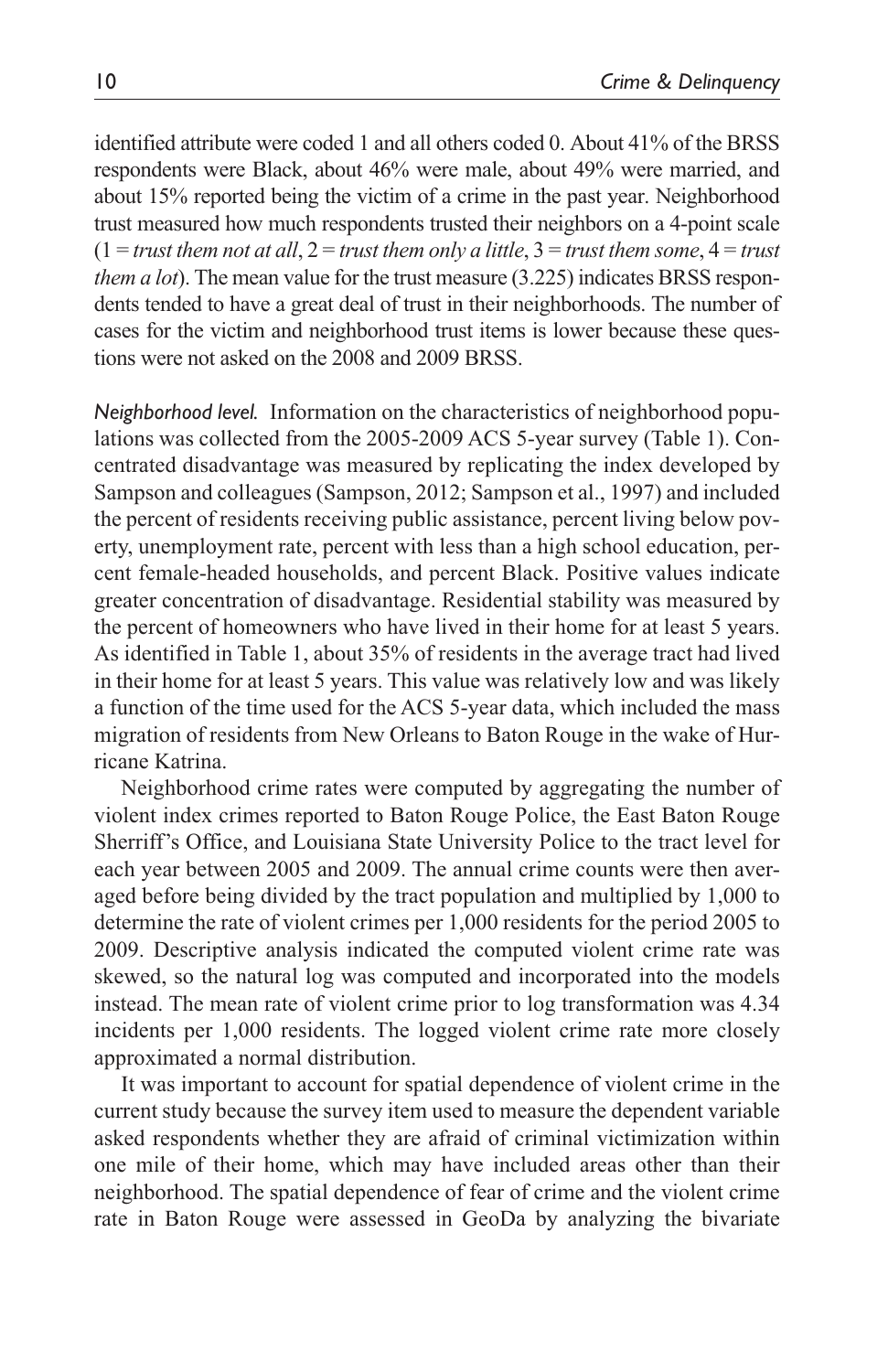identified attribute were coded 1 and all others coded 0. About 41% of the BRSS respondents were Black, about 46% were male, about 49% were married, and about 15% reported being the victim of a crime in the past year. Neighborhood trust measured how much respondents trusted their neighbors on a 4-point scale  $(1 = trust them not at all, 2 = trust them only a little, 3 = trust them some, 4 = trust$ *them a lot*). The mean value for the trust measure (3.225) indicates BRSS respondents tended to have a great deal of trust in their neighborhoods. The number of cases for the victim and neighborhood trust items is lower because these questions were not asked on the 2008 and 2009 BRSS.

*Neighborhood level.* Information on the characteristics of neighborhood populations was collected from the 2005-2009 ACS 5-year survey (Table 1). Concentrated disadvantage was measured by replicating the index developed by Sampson and colleagues (Sampson, 2012; Sampson et al., 1997) and included the percent of residents receiving public assistance, percent living below poverty, unemployment rate, percent with less than a high school education, percent female-headed households, and percent Black. Positive values indicate greater concentration of disadvantage. Residential stability was measured by the percent of homeowners who have lived in their home for at least 5 years. As identified in Table 1, about 35% of residents in the average tract had lived in their home for at least 5 years. This value was relatively low and was likely a function of the time used for the ACS 5-year data, which included the mass migration of residents from New Orleans to Baton Rouge in the wake of Hurricane Katrina.

Neighborhood crime rates were computed by aggregating the number of violent index crimes reported to Baton Rouge Police, the East Baton Rouge Sherriff's Office, and Louisiana State University Police to the tract level for each year between 2005 and 2009. The annual crime counts were then averaged before being divided by the tract population and multiplied by 1,000 to determine the rate of violent crimes per 1,000 residents for the period 2005 to 2009. Descriptive analysis indicated the computed violent crime rate was skewed, so the natural log was computed and incorporated into the models instead. The mean rate of violent crime prior to log transformation was 4.34 incidents per 1,000 residents. The logged violent crime rate more closely approximated a normal distribution.

It was important to account for spatial dependence of violent crime in the current study because the survey item used to measure the dependent variable asked respondents whether they are afraid of criminal victimization within one mile of their home, which may have included areas other than their neighborhood. The spatial dependence of fear of crime and the violent crime rate in Baton Rouge were assessed in GeoDa by analyzing the bivariate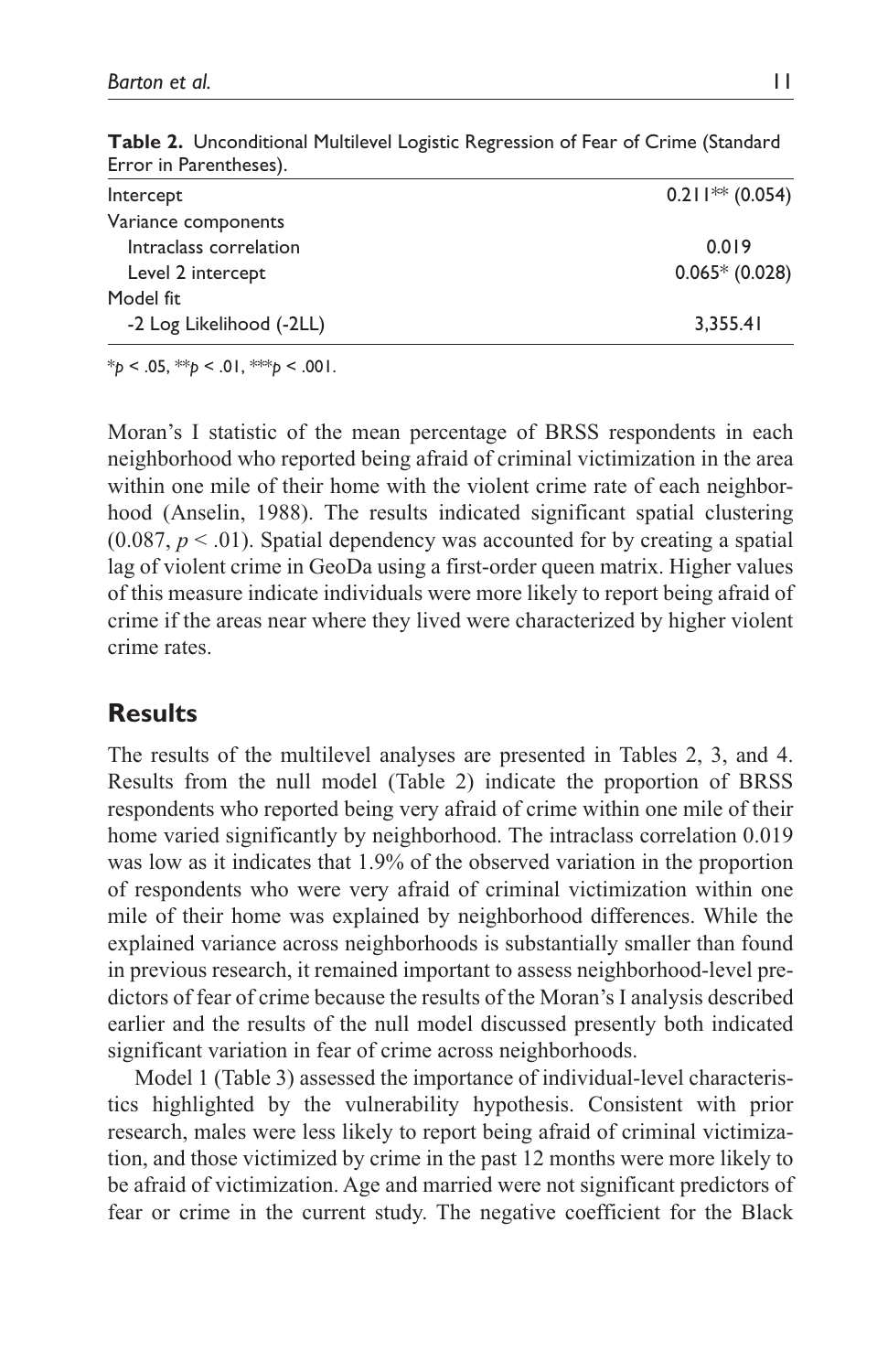| Intercept                | $0.211**$ (0.054) |
|--------------------------|-------------------|
| Variance components      |                   |
| Intraclass correlation   | 0.019             |
| Level 2 intercept        | $0.065*$ (0.028)  |
| Model fit                |                   |
| -2 Log Likelihood (-2LL) | 3,355.41          |

**Table 2.** Unconditional Multilevel Logistic Regression of Fear of Crime (Standard Error in Parentheses).

 $*_{p}$  < .05,  $*_{p}$  < .01,  $*_{p}$  < .001.

Moran's I statistic of the mean percentage of BRSS respondents in each neighborhood who reported being afraid of criminal victimization in the area within one mile of their home with the violent crime rate of each neighborhood (Anselin, 1988). The results indicated significant spatial clustering  $(0.087, p \le 0.01)$ . Spatial dependency was accounted for by creating a spatial lag of violent crime in GeoDa using a first-order queen matrix. Higher values of this measure indicate individuals were more likely to report being afraid of crime if the areas near where they lived were characterized by higher violent crime rates.

# **Results**

The results of the multilevel analyses are presented in Tables 2, 3, and 4. Results from the null model (Table 2) indicate the proportion of BRSS respondents who reported being very afraid of crime within one mile of their home varied significantly by neighborhood. The intraclass correlation 0.019 was low as it indicates that 1.9% of the observed variation in the proportion of respondents who were very afraid of criminal victimization within one mile of their home was explained by neighborhood differences. While the explained variance across neighborhoods is substantially smaller than found in previous research, it remained important to assess neighborhood-level predictors of fear of crime because the results of the Moran's I analysis described earlier and the results of the null model discussed presently both indicated significant variation in fear of crime across neighborhoods.

Model 1 (Table 3) assessed the importance of individual-level characteristics highlighted by the vulnerability hypothesis. Consistent with prior research, males were less likely to report being afraid of criminal victimization, and those victimized by crime in the past 12 months were more likely to be afraid of victimization. Age and married were not significant predictors of fear or crime in the current study. The negative coefficient for the Black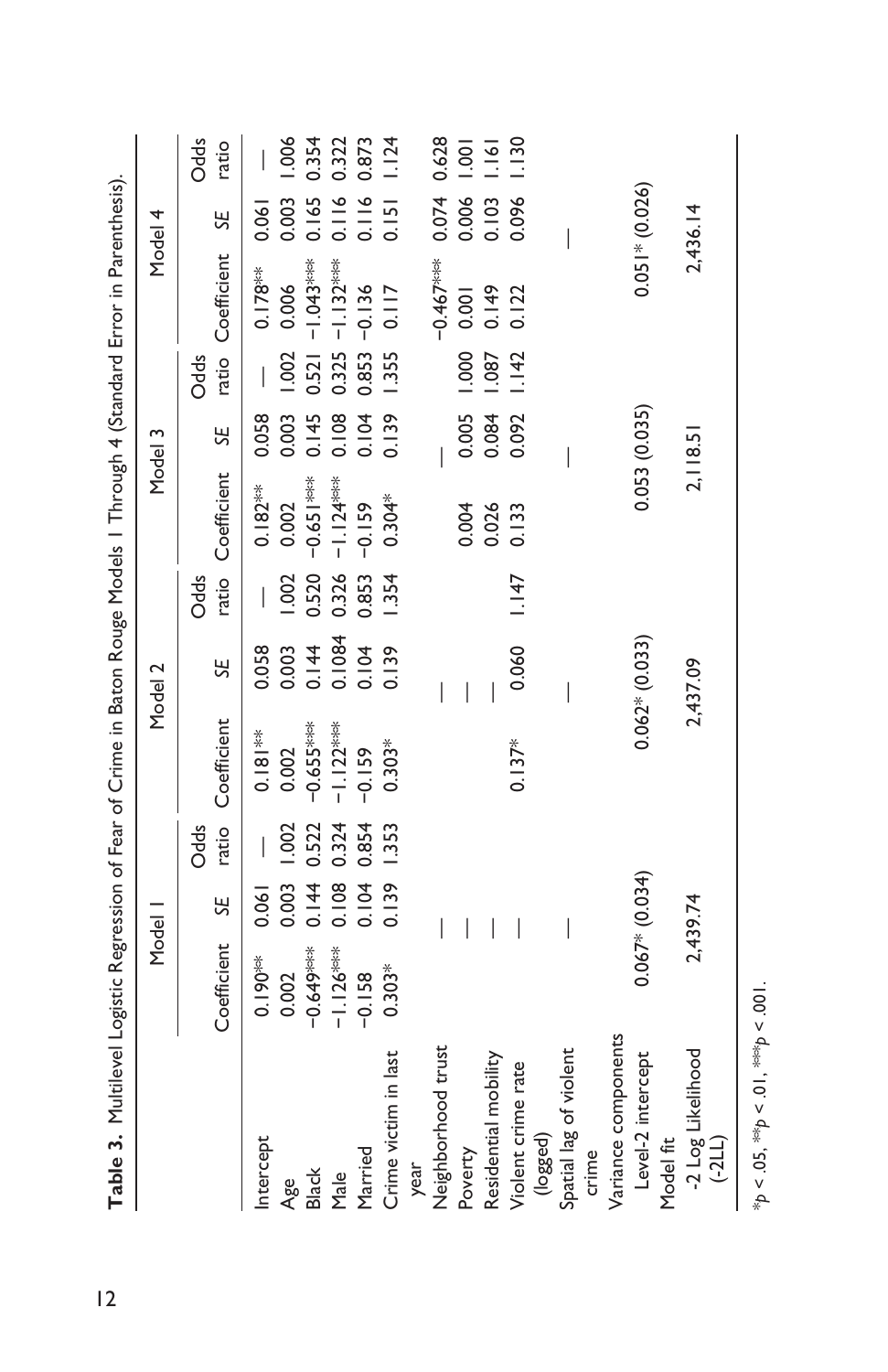|                                                                                                                                                                                                                                                                                | Model       |                          |                      |                             | Model 2         |                      |             | Model 3      |               |                 | Model 4          |                      |
|--------------------------------------------------------------------------------------------------------------------------------------------------------------------------------------------------------------------------------------------------------------------------------|-------------|--------------------------|----------------------|-----------------------------|-----------------|----------------------|-------------|--------------|---------------|-----------------|------------------|----------------------|
|                                                                                                                                                                                                                                                                                | Coefficient | 닍                        | <b>Odds</b><br>ratio | Coefficient                 | 닍               | ratio<br><b>Odds</b> | Coefficient | SE,          | ratio<br>Odds | Coefficient     | SE,              | <b>Odds</b><br>ratio |
| Intercept                                                                                                                                                                                                                                                                      | $0.190**$   | 0.061                    |                      | $\frac{1}{2}$ $\frac{1}{2}$ | 0.058           |                      | $0.182**$   | 0.058        |               | $0.178**$       | 0.061            |                      |
|                                                                                                                                                                                                                                                                                | 0.002       | 0.003                    | 1.002                | 0.002                       | 0.003           | 1.002                | 0.002       | 0.003        | 1.002         | 0.006           | 0.003            | 1.006                |
|                                                                                                                                                                                                                                                                                | $-0.649***$ | 0.144                    | 0.522                | $-0.655***$                 | 0.144           | 0.520                | $-0.651***$ | 0.145        | 0.521         | $-1.043**$      | 0.165            | 0.354                |
|                                                                                                                                                                                                                                                                                | $-1.126***$ | 0.108                    | 0.324                | $-1.122$ **                 | 0.1084          | 0.326                | $-1.124***$ | 0.108        | $0.325 -$     | $-1.132***$     | 0.116            | 0.322                |
|                                                                                                                                                                                                                                                                                | $-0.158$    | 0.104                    | 0.854                | $-0.159$                    | 0.104           | 0.853                | $-0.159$    | 0.104        |               | $0.853 - 0.136$ | 0.116            | 0.873                |
|                                                                                                                                                                                                                                                                                | $0.303*$    | 0.139                    | 1.353                | $0.303*$                    | 0.139           | 1.354                | $0.304*$    | 0.139        | 1.355         | 0.117           | 0.151            | 1.124                |
|                                                                                                                                                                                                                                                                                |             |                          |                      |                             |                 |                      |             |              |               |                 |                  |                      |
|                                                                                                                                                                                                                                                                                |             |                          |                      |                             |                 |                      |             |              |               | $-0.467***$     | 0.074            | 0.628                |
|                                                                                                                                                                                                                                                                                |             |                          |                      |                             |                 |                      | 0.004       | 0.005        | 1.000         | 0.001           | 0.006            | $-001$               |
|                                                                                                                                                                                                                                                                                |             | $\overline{\phantom{a}}$ |                      |                             |                 |                      | 0.026       | 0.084        | 1.087         | 0.149           |                  | 1.161                |
|                                                                                                                                                                                                                                                                                |             | $\overline{\phantom{a}}$ |                      | $0.137*$                    | 0.060           | 1.147                | 0.133       | 0.092        | 1.142         | 0.122           | 0.096            | 1.130                |
|                                                                                                                                                                                                                                                                                |             |                          |                      |                             |                 |                      |             |              |               |                 |                  |                      |
|                                                                                                                                                                                                                                                                                |             |                          |                      |                             |                 |                      |             |              |               |                 |                  |                      |
|                                                                                                                                                                                                                                                                                |             |                          |                      |                             |                 |                      |             |              |               |                 |                  |                      |
| components                                                                                                                                                                                                                                                                     |             |                          |                      |                             |                 |                      |             |              |               |                 |                  |                      |
| Age<br>Black<br>Male<br>Married<br>Married<br>Veime victim in last<br>Veighborhood trust<br>Poverty<br>Residential mobility<br>Resident crime<br>Spatial lag of violent<br>Cine<br>Crime<br>Variance components<br>Level-2 intercept<br>Variance components<br>2-2 Log Likelih |             | $0.067*$ (0.034)         |                      |                             | $0.062*(0.033)$ |                      |             | 0.053(0.035) |               |                 | $0.051* (0.026)$ |                      |
|                                                                                                                                                                                                                                                                                |             |                          |                      |                             |                 |                      |             |              |               |                 |                  |                      |
|                                                                                                                                                                                                                                                                                |             | 2,439.74                 |                      |                             | 2,437.09        |                      |             | 2,118.5      |               |                 | 2,436.14         |                      |
|                                                                                                                                                                                                                                                                                |             |                          |                      |                             |                 |                      |             |              |               |                 |                  |                      |

 $*p < .05, **p < .01, **p < .001.$ \**p* < .05, \*\**p* < .01, \*\*\**p* < .001.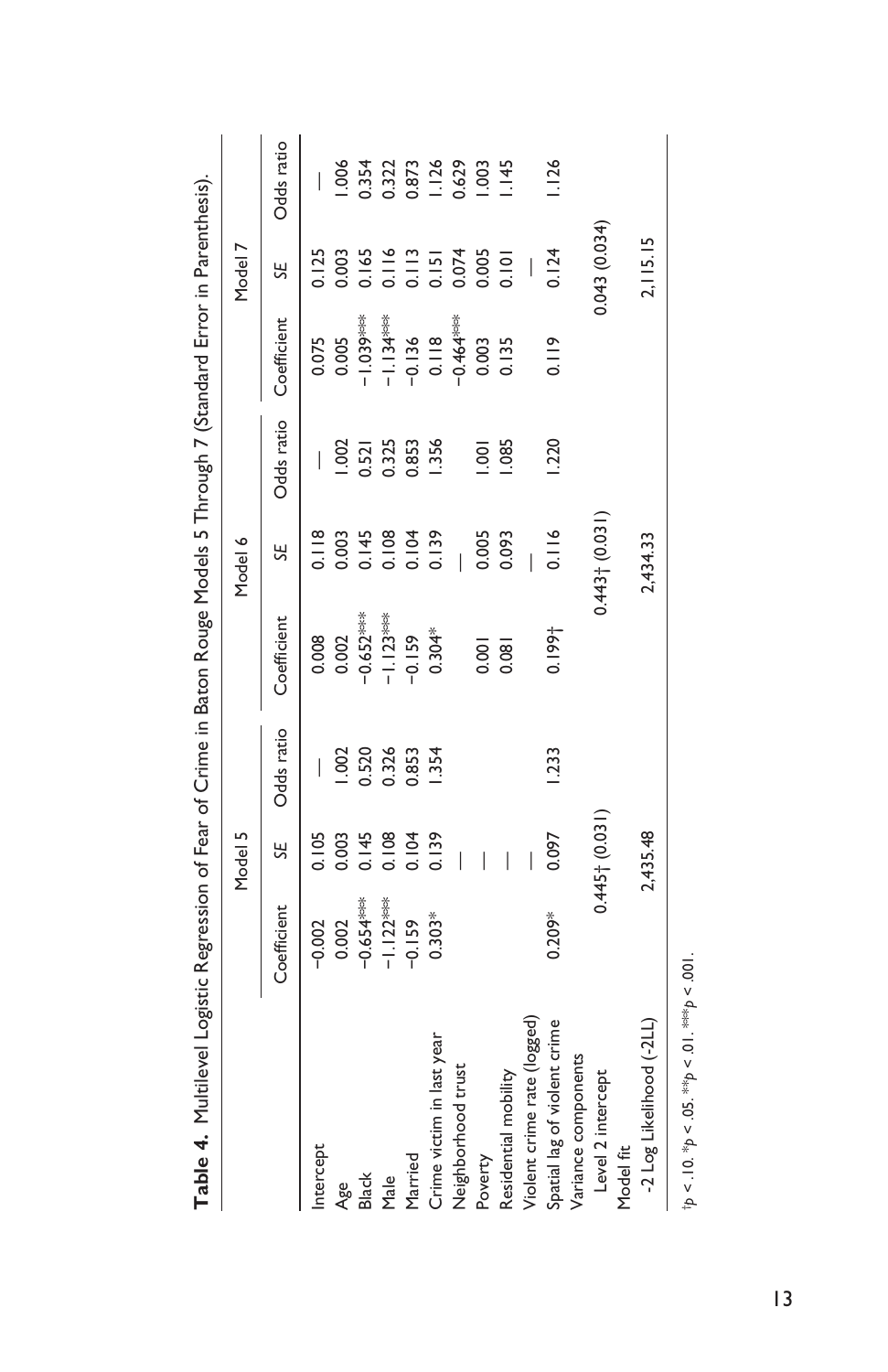| Table 4. Multilevel Logistic Regression of Fear of Crime in Baton Rouge Models 5 Through 7 (Standard Error in Parenthesis). |             |                          |            |             |                          |                |             |               |                |
|-----------------------------------------------------------------------------------------------------------------------------|-------------|--------------------------|------------|-------------|--------------------------|----------------|-------------|---------------|----------------|
|                                                                                                                             |             | Model 5                  |            |             | Model 6                  |                |             | Model 7       |                |
|                                                                                                                             | Coefficient | SE                       | Odds ratio | Coefficient | SE,                      | Odds ratio     | Coefficient | SE            | Odds ratio     |
| Intercept                                                                                                                   | $-0.002$    | 0.105                    |            | 0.008       | 0.118                    |                | 0.075       | 0.125         |                |
| Age                                                                                                                         | 0.002       | 0.003                    | 002        | 0.002       | 0.003                    | 1.002          | 0.005       | 0.003         | 80             |
| Black                                                                                                                       | $-0.654***$ | 0.145                    | 0.520      | $-0.652***$ | 0.145                    | 0.521          | $1.039***$  | 0.165         |                |
| Male                                                                                                                        | $-1.122***$ | 0.108                    | 0.326      | $-1.123***$ | 0.108                    | 0.325          | $-1.134***$ | 0.116         | 0.354<br>0.322 |
| Married                                                                                                                     | $-0.159$    | 0.104                    | 0.853      | $-0.159$    | 0.104                    | 0.853          | $-0.136$    | 0.113         | 0.873          |
| Crime victim in last year                                                                                                   | $0.303*$    | 0.139                    | 1.354      | 0.304*      | 0.139                    | 1.356          | 0.118       | 0.151         | 1.126<br>0.629 |
| Neighborhood trust                                                                                                          |             | $\overline{1}$           |            |             |                          |                | $-0.464***$ | 0.074         |                |
| Poverty                                                                                                                     |             | $\overline{\phantom{a}}$ |            | 0.001       | 0.005                    | $\overline{5}$ | 0.003       | 0.005         | 1.003          |
| Residential mobility                                                                                                        |             | $\overline{\phantom{a}}$ |            | 0.081       | 0.093                    | .085           | 0.135       | 0.101         | $\frac{45}{1}$ |
| Violent crime rate (logged)                                                                                                 |             |                          |            |             |                          |                |             |               |                |
| Spatial lag of violent crime                                                                                                | $0.209*$    | 0.097                    | 1.233      | $0.199 +$   | 0.116                    | .220           | 0.119       | 0.124         | 1.126          |
| Variance components                                                                                                         |             |                          |            |             |                          |                |             |               |                |
| Level 2 intercept                                                                                                           |             | $0.445 \uparrow (0.031)$ |            |             | $0.443 \uparrow (0.031)$ |                |             | 0.043 (0.034) |                |
| Model fit                                                                                                                   |             |                          |            |             |                          |                |             |               |                |
| -2 Log Likelihood (-2LL)                                                                                                    |             | 2,435.48                 |            |             | 2,434.33                 |                |             | 2,115.15      |                |
|                                                                                                                             |             |                          |            |             |                          |                |             |               |                |

 $^{\dagger}p < 10.^{\ast}p < .05.^{\ast\ast\ast}p < .01.^{\ast\ast\ast\ast\ast}p < .001$ †*p* < .10. \**p* < .05. \*\**p* < .01. \*\*\**p* < .001.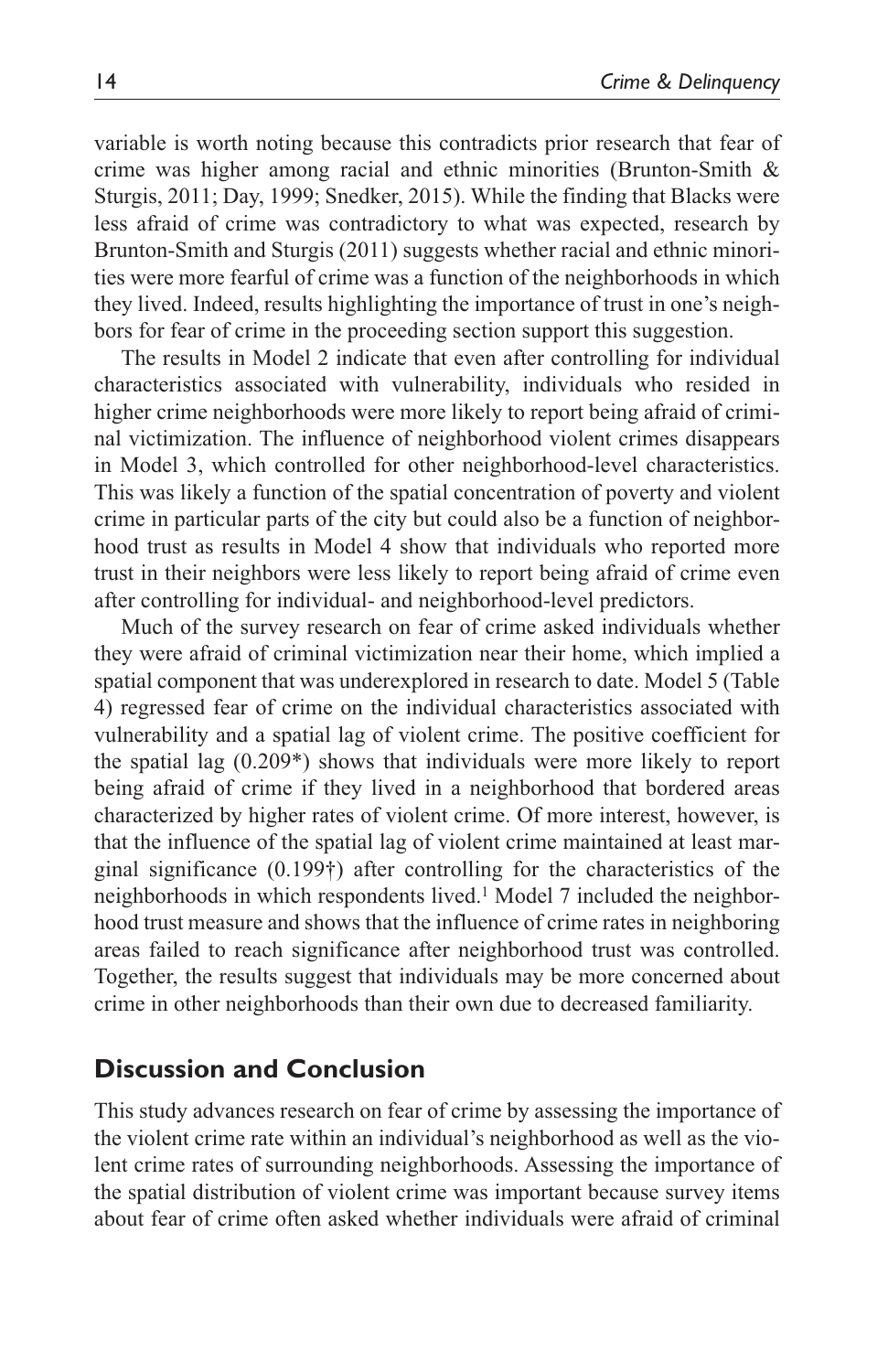variable is worth noting because this contradicts prior research that fear of crime was higher among racial and ethnic minorities (Brunton-Smith & Sturgis, 2011; Day, 1999; Snedker, 2015). While the finding that Blacks were less afraid of crime was contradictory to what was expected, research by Brunton-Smith and Sturgis (2011) suggests whether racial and ethnic minorities were more fearful of crime was a function of the neighborhoods in which they lived. Indeed, results highlighting the importance of trust in one's neighbors for fear of crime in the proceeding section support this suggestion.

The results in Model 2 indicate that even after controlling for individual characteristics associated with vulnerability, individuals who resided in higher crime neighborhoods were more likely to report being afraid of criminal victimization. The influence of neighborhood violent crimes disappears in Model 3, which controlled for other neighborhood-level characteristics. This was likely a function of the spatial concentration of poverty and violent crime in particular parts of the city but could also be a function of neighborhood trust as results in Model 4 show that individuals who reported more trust in their neighbors were less likely to report being afraid of crime even after controlling for individual- and neighborhood-level predictors.

Much of the survey research on fear of crime asked individuals whether they were afraid of criminal victimization near their home, which implied a spatial component that was underexplored in research to date. Model 5 (Table 4) regressed fear of crime on the individual characteristics associated with vulnerability and a spatial lag of violent crime. The positive coefficient for the spatial lag (0.209\*) shows that individuals were more likely to report being afraid of crime if they lived in a neighborhood that bordered areas characterized by higher rates of violent crime. Of more interest, however, is that the influence of the spatial lag of violent crime maintained at least marginal significance (0.199†) after controlling for the characteristics of the neighborhoods in which respondents lived.1 Model 7 included the neighborhood trust measure and shows that the influence of crime rates in neighboring areas failed to reach significance after neighborhood trust was controlled. Together, the results suggest that individuals may be more concerned about crime in other neighborhoods than their own due to decreased familiarity.

# **Discussion and Conclusion**

This study advances research on fear of crime by assessing the importance of the violent crime rate within an individual's neighborhood as well as the violent crime rates of surrounding neighborhoods. Assessing the importance of the spatial distribution of violent crime was important because survey items about fear of crime often asked whether individuals were afraid of criminal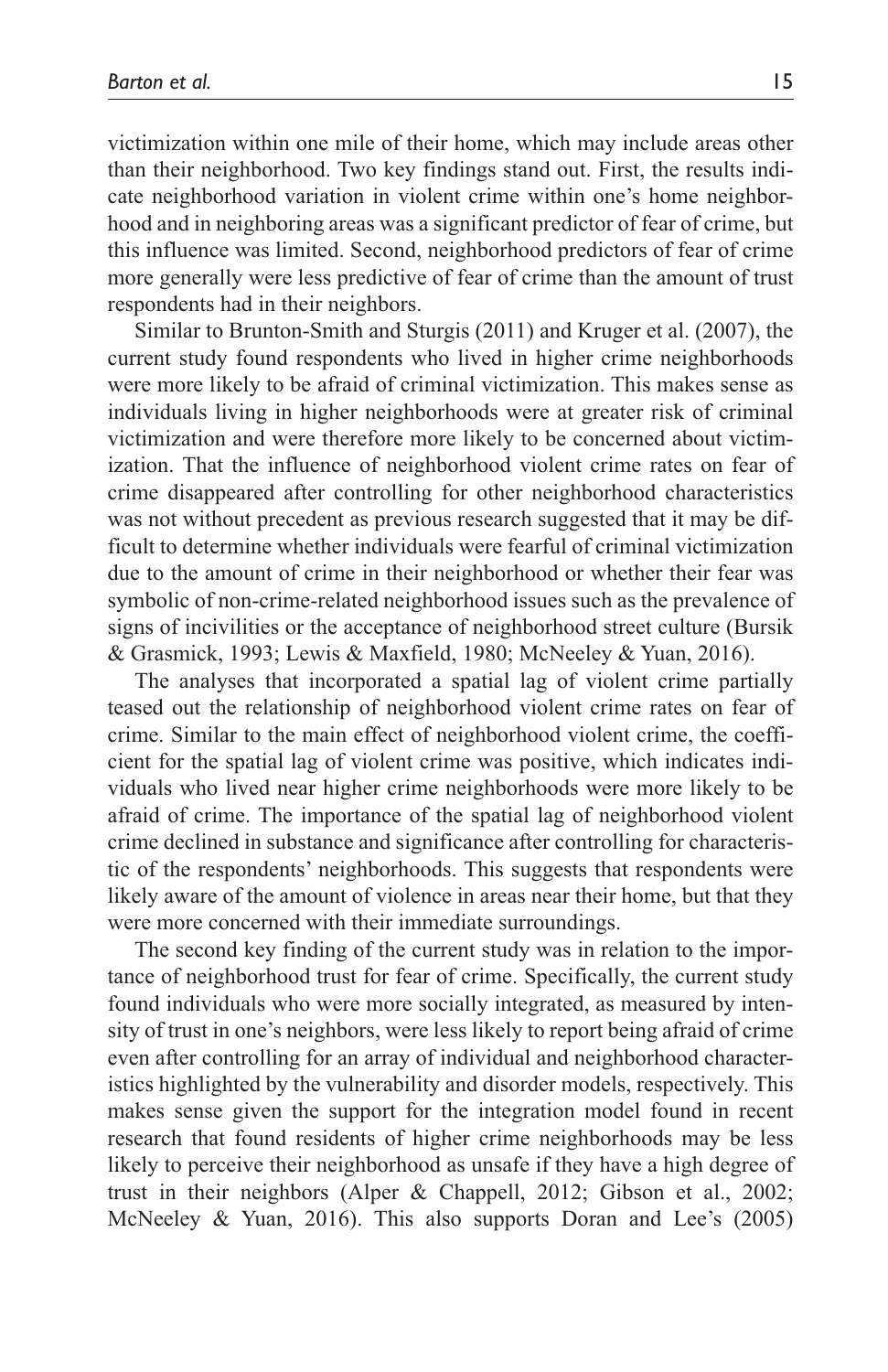victimization within one mile of their home, which may include areas other than their neighborhood. Two key findings stand out. First, the results indicate neighborhood variation in violent crime within one's home neighborhood and in neighboring areas was a significant predictor of fear of crime, but this influence was limited. Second, neighborhood predictors of fear of crime more generally were less predictive of fear of crime than the amount of trust respondents had in their neighbors.

Similar to Brunton-Smith and Sturgis (2011) and Kruger et al. (2007), the current study found respondents who lived in higher crime neighborhoods were more likely to be afraid of criminal victimization. This makes sense as individuals living in higher neighborhoods were at greater risk of criminal victimization and were therefore more likely to be concerned about victimization. That the influence of neighborhood violent crime rates on fear of crime disappeared after controlling for other neighborhood characteristics was not without precedent as previous research suggested that it may be difficult to determine whether individuals were fearful of criminal victimization due to the amount of crime in their neighborhood or whether their fear was symbolic of non-crime-related neighborhood issues such as the prevalence of signs of incivilities or the acceptance of neighborhood street culture (Bursik & Grasmick, 1993; Lewis & Maxfield, 1980; McNeeley & Yuan, 2016).

The analyses that incorporated a spatial lag of violent crime partially teased out the relationship of neighborhood violent crime rates on fear of crime. Similar to the main effect of neighborhood violent crime, the coefficient for the spatial lag of violent crime was positive, which indicates individuals who lived near higher crime neighborhoods were more likely to be afraid of crime. The importance of the spatial lag of neighborhood violent crime declined in substance and significance after controlling for characteristic of the respondents' neighborhoods. This suggests that respondents were likely aware of the amount of violence in areas near their home, but that they were more concerned with their immediate surroundings.

The second key finding of the current study was in relation to the importance of neighborhood trust for fear of crime. Specifically, the current study found individuals who were more socially integrated, as measured by intensity of trust in one's neighbors, were less likely to report being afraid of crime even after controlling for an array of individual and neighborhood characteristics highlighted by the vulnerability and disorder models, respectively. This makes sense given the support for the integration model found in recent research that found residents of higher crime neighborhoods may be less likely to perceive their neighborhood as unsafe if they have a high degree of trust in their neighbors (Alper & Chappell, 2012; Gibson et al., 2002; McNeeley & Yuan, 2016). This also supports Doran and Lee's (2005)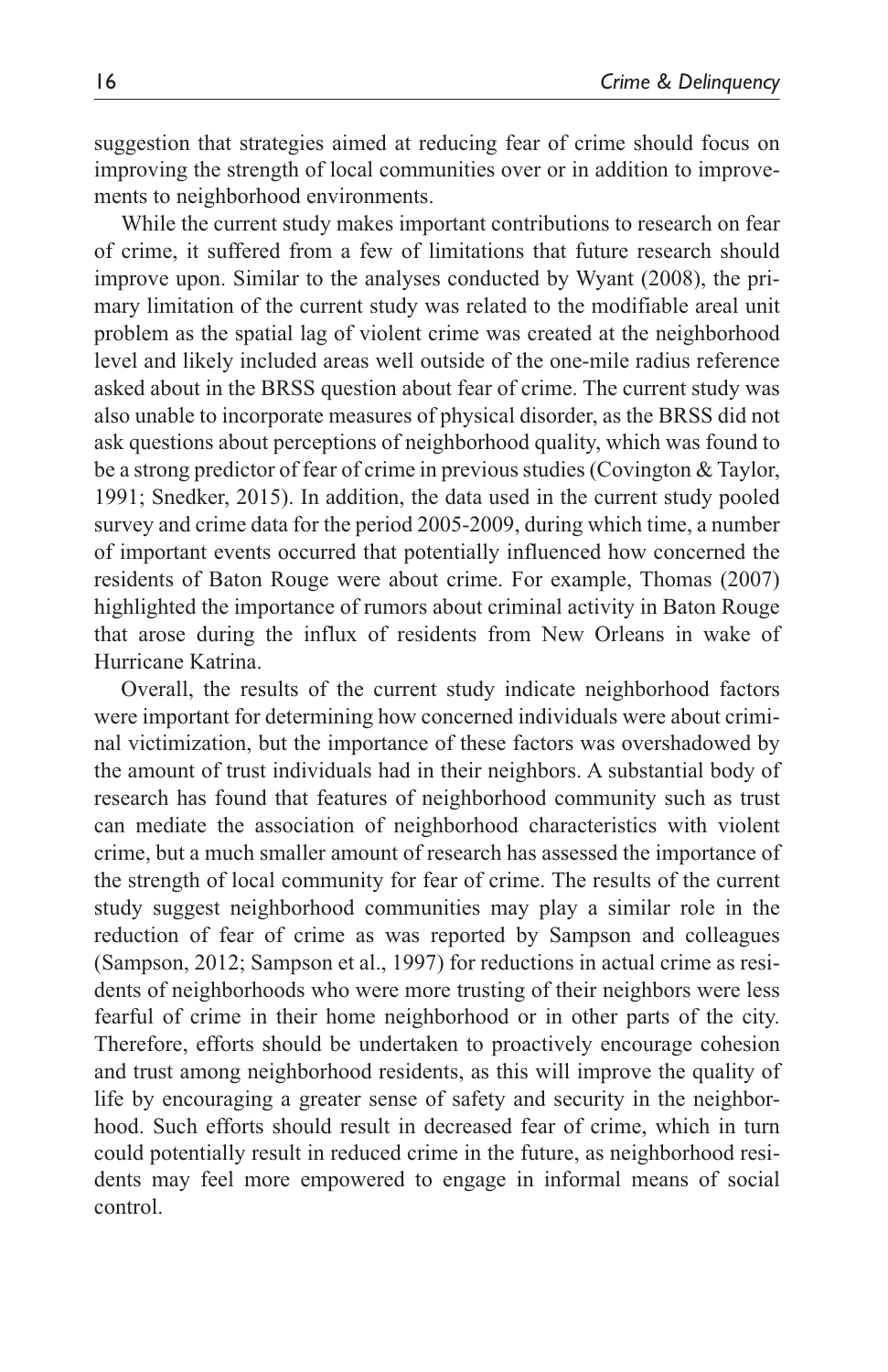suggestion that strategies aimed at reducing fear of crime should focus on improving the strength of local communities over or in addition to improvements to neighborhood environments.

While the current study makes important contributions to research on fear of crime, it suffered from a few of limitations that future research should improve upon. Similar to the analyses conducted by Wyant (2008), the primary limitation of the current study was related to the modifiable areal unit problem as the spatial lag of violent crime was created at the neighborhood level and likely included areas well outside of the one-mile radius reference asked about in the BRSS question about fear of crime. The current study was also unable to incorporate measures of physical disorder, as the BRSS did not ask questions about perceptions of neighborhood quality, which was found to be a strong predictor of fear of crime in previous studies (Covington & Taylor, 1991; Snedker, 2015). In addition, the data used in the current study pooled survey and crime data for the period 2005-2009, during which time, a number of important events occurred that potentially influenced how concerned the residents of Baton Rouge were about crime. For example, Thomas (2007) highlighted the importance of rumors about criminal activity in Baton Rouge that arose during the influx of residents from New Orleans in wake of Hurricane Katrina.

Overall, the results of the current study indicate neighborhood factors were important for determining how concerned individuals were about criminal victimization, but the importance of these factors was overshadowed by the amount of trust individuals had in their neighbors. A substantial body of research has found that features of neighborhood community such as trust can mediate the association of neighborhood characteristics with violent crime, but a much smaller amount of research has assessed the importance of the strength of local community for fear of crime. The results of the current study suggest neighborhood communities may play a similar role in the reduction of fear of crime as was reported by Sampson and colleagues (Sampson, 2012; Sampson et al., 1997) for reductions in actual crime as residents of neighborhoods who were more trusting of their neighbors were less fearful of crime in their home neighborhood or in other parts of the city. Therefore, efforts should be undertaken to proactively encourage cohesion and trust among neighborhood residents, as this will improve the quality of life by encouraging a greater sense of safety and security in the neighborhood. Such efforts should result in decreased fear of crime, which in turn could potentially result in reduced crime in the future, as neighborhood residents may feel more empowered to engage in informal means of social control.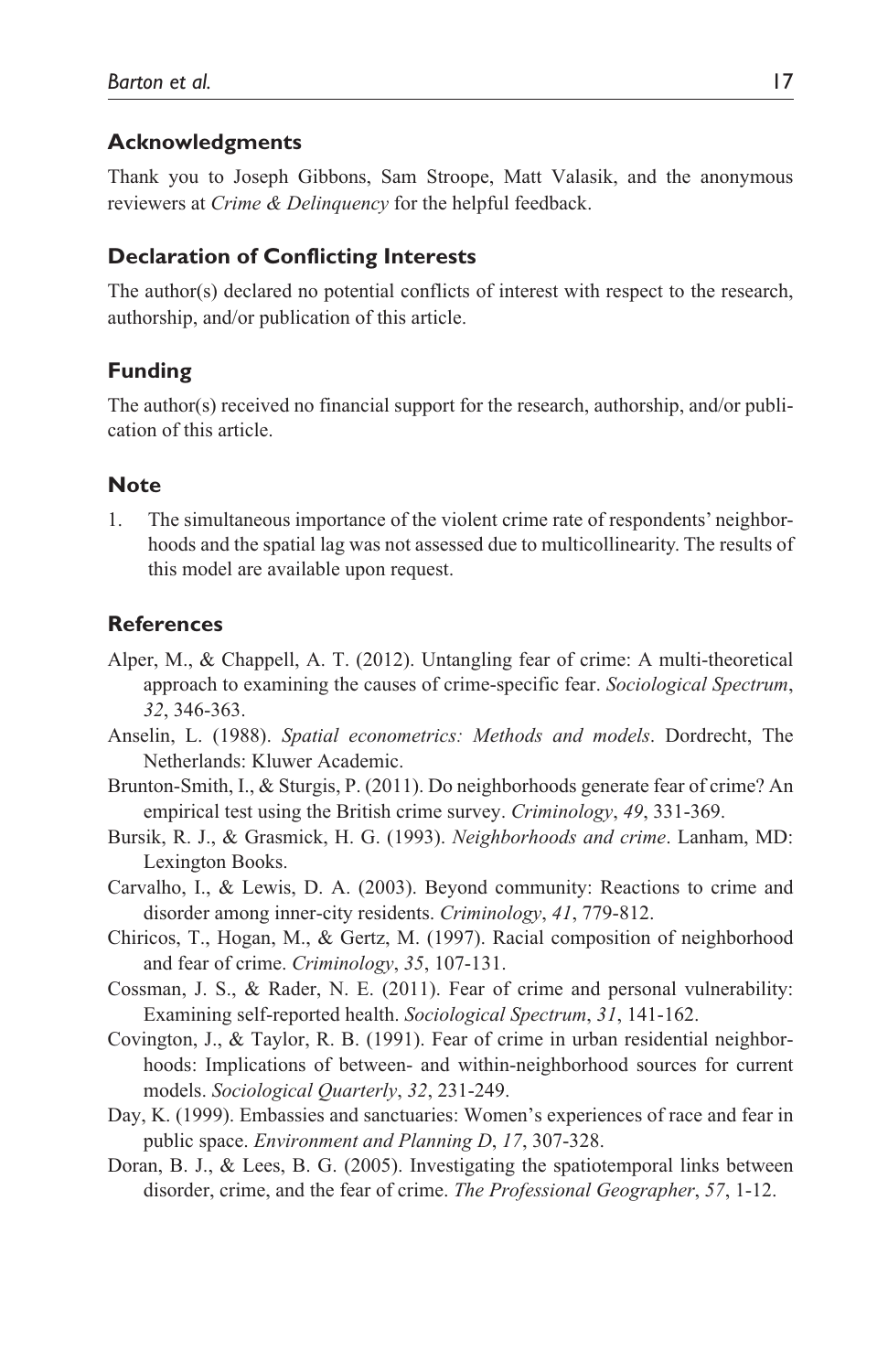### **Acknowledgments**

Thank you to Joseph Gibbons, Sam Stroope, Matt Valasik, and the anonymous reviewers at *Crime & Delinquency* for the helpful feedback.

### **Declaration of Conflicting Interests**

The author(s) declared no potential conflicts of interest with respect to the research, authorship, and/or publication of this article.

### **Funding**

The author(s) received no financial support for the research, authorship, and/or publication of this article.

### **Note**

1. The simultaneous importance of the violent crime rate of respondents' neighborhoods and the spatial lag was not assessed due to multicollinearity. The results of this model are available upon request.

### **References**

- Alper, M., & Chappell, A. T. (2012). Untangling fear of crime: A multi-theoretical approach to examining the causes of crime-specific fear. *Sociological Spectrum*, *32*, 346-363.
- Anselin, L. (1988). *Spatial econometrics: Methods and models*. Dordrecht, The Netherlands: Kluwer Academic.
- Brunton-Smith, I., & Sturgis, P. (2011). Do neighborhoods generate fear of crime? An empirical test using the British crime survey. *Criminology*, *49*, 331-369.
- Bursik, R. J., & Grasmick, H. G. (1993). *Neighborhoods and crime*. Lanham, MD: Lexington Books.
- Carvalho, I., & Lewis, D. A. (2003). Beyond community: Reactions to crime and disorder among inner-city residents. *Criminology*, *41*, 779-812.
- Chiricos, T., Hogan, M., & Gertz, M. (1997). Racial composition of neighborhood and fear of crime. *Criminology*, *35*, 107-131.
- Cossman, J. S., & Rader, N. E. (2011). Fear of crime and personal vulnerability: Examining self-reported health. *Sociological Spectrum*, *31*, 141-162.
- Covington, J., & Taylor, R. B. (1991). Fear of crime in urban residential neighborhoods: Implications of between- and within-neighborhood sources for current models. *Sociological Quarterly*, *32*, 231-249.
- Day, K. (1999). Embassies and sanctuaries: Women's experiences of race and fear in public space. *Environment and Planning D*, *17*, 307-328.
- Doran, B. J., & Lees, B. G. (2005). Investigating the spatiotemporal links between disorder, crime, and the fear of crime. *The Professional Geographer*, *57*, 1-12.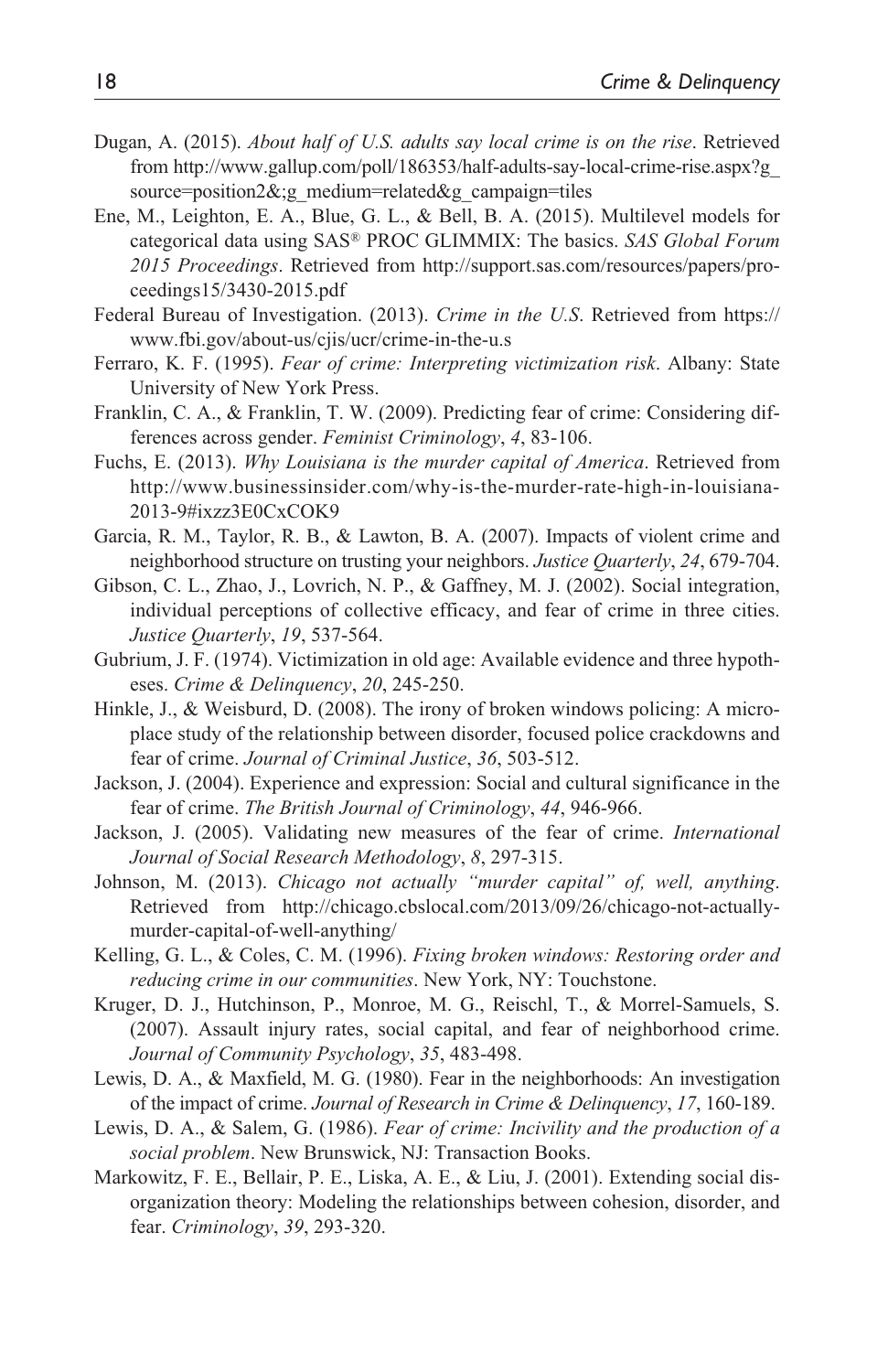- Dugan, A. (2015). *About half of U.S. adults say local crime is on the rise*. Retrieved from [http://www.gallup.com/poll/186353/half-adults-say-local-crime-rise.aspx?g\\_](http://www.gallup.com/poll/186353/half-adults-say-local-crime-rise.aspx?g_source=position2&;g_medium=related&g_campaign=tiles) [source=position2&;g\\_medium=related&g\\_campaign=tiles](http://www.gallup.com/poll/186353/half-adults-say-local-crime-rise.aspx?g_source=position2&;g_medium=related&g_campaign=tiles)
- Ene, M., Leighton, E. A., Blue, G. L., & Bell, B. A. (2015). Multilevel models for categorical data using SAS® PROC GLIMMIX: The basics. *SAS Global Forum 2015 Proceedings*. Retrieved from [http://support.sas.com/resources/papers/pro](http://support.sas.com/resources/papers/proceedings15/3430-2015.pdf)[ceedings15/3430-2015.pdf](http://support.sas.com/resources/papers/proceedings15/3430-2015.pdf)
- Federal Bureau of Investigation. (2013). *Crime in the U.S*. Retrieved from [https://](https://www.fbi.gov/about-us/cjis/ucr/crime-in-the-u.s) [www.fbi.gov/about-us/cjis/ucr/crime-in-the-u.s](https://www.fbi.gov/about-us/cjis/ucr/crime-in-the-u.s)
- Ferraro, K. F. (1995). *Fear of crime: Interpreting victimization risk*. Albany: State University of New York Press.
- Franklin, C. A., & Franklin, T. W. (2009). Predicting fear of crime: Considering differences across gender. *Feminist Criminology*, *4*, 83-106.
- Fuchs, E. (2013). *Why Louisiana is the murder capital of America*. Retrieved from [http://www.businessinsider.com/why-is-the-murder-rate-high-in-louisiana-](http://www.businessinsider.com/why-is-the-murder-rate-high-in-louisiana-2013-9#ixzz3E0CxCOK9)[2013-9#ixzz3E0CxCOK9](http://www.businessinsider.com/why-is-the-murder-rate-high-in-louisiana-2013-9#ixzz3E0CxCOK9)
- Garcia, R. M., Taylor, R. B., & Lawton, B. A. (2007). Impacts of violent crime and neighborhood structure on trusting your neighbors. *Justice Quarterly*, *24*, 679-704.
- Gibson, C. L., Zhao, J., Lovrich, N. P., & Gaffney, M. J. (2002). Social integration, individual perceptions of collective efficacy, and fear of crime in three cities. *Justice Quarterly*, *19*, 537-564.
- Gubrium, J. F. (1974). Victimization in old age: Available evidence and three hypotheses. *Crime & Delinquency*, *20*, 245-250.
- Hinkle, J., & Weisburd, D. (2008). The irony of broken windows policing: A microplace study of the relationship between disorder, focused police crackdowns and fear of crime. *Journal of Criminal Justice*, *36*, 503-512.
- Jackson, J. (2004). Experience and expression: Social and cultural significance in the fear of crime. *The British Journal of Criminology*, *44*, 946-966.
- Jackson, J. (2005). Validating new measures of the fear of crime. *International Journal of Social Research Methodology*, *8*, 297-315.
- Johnson, M. (2013). *Chicago not actually "murder capital" of, well, anything*. Retrieved from [http://chicago.cbslocal.com/2013/09/26/chicago-not-actually](http://chicago.cbslocal.com/2013/09/26/chicago-not-actually-murder-capital-of-well-anything/)[murder-capital-of-well-anything/](http://chicago.cbslocal.com/2013/09/26/chicago-not-actually-murder-capital-of-well-anything/)
- Kelling, G. L., & Coles, C. M. (1996). *Fixing broken windows: Restoring order and reducing crime in our communities*. New York, NY: Touchstone.
- Kruger, D. J., Hutchinson, P., Monroe, M. G., Reischl, T., & Morrel-Samuels, S. (2007). Assault injury rates, social capital, and fear of neighborhood crime. *Journal of Community Psychology*, *35*, 483-498.
- Lewis, D. A., & Maxfield, M. G. (1980). Fear in the neighborhoods: An investigation of the impact of crime. *Journal of Research in Crime & Delinquency*, *17*, 160-189.
- Lewis, D. A., & Salem, G. (1986). *Fear of crime: Incivility and the production of a social problem*. New Brunswick, NJ: Transaction Books.
- Markowitz, F. E., Bellair, P. E., Liska, A. E., & Liu, J. (2001). Extending social disorganization theory: Modeling the relationships between cohesion, disorder, and fear. *Criminology*, *39*, 293-320.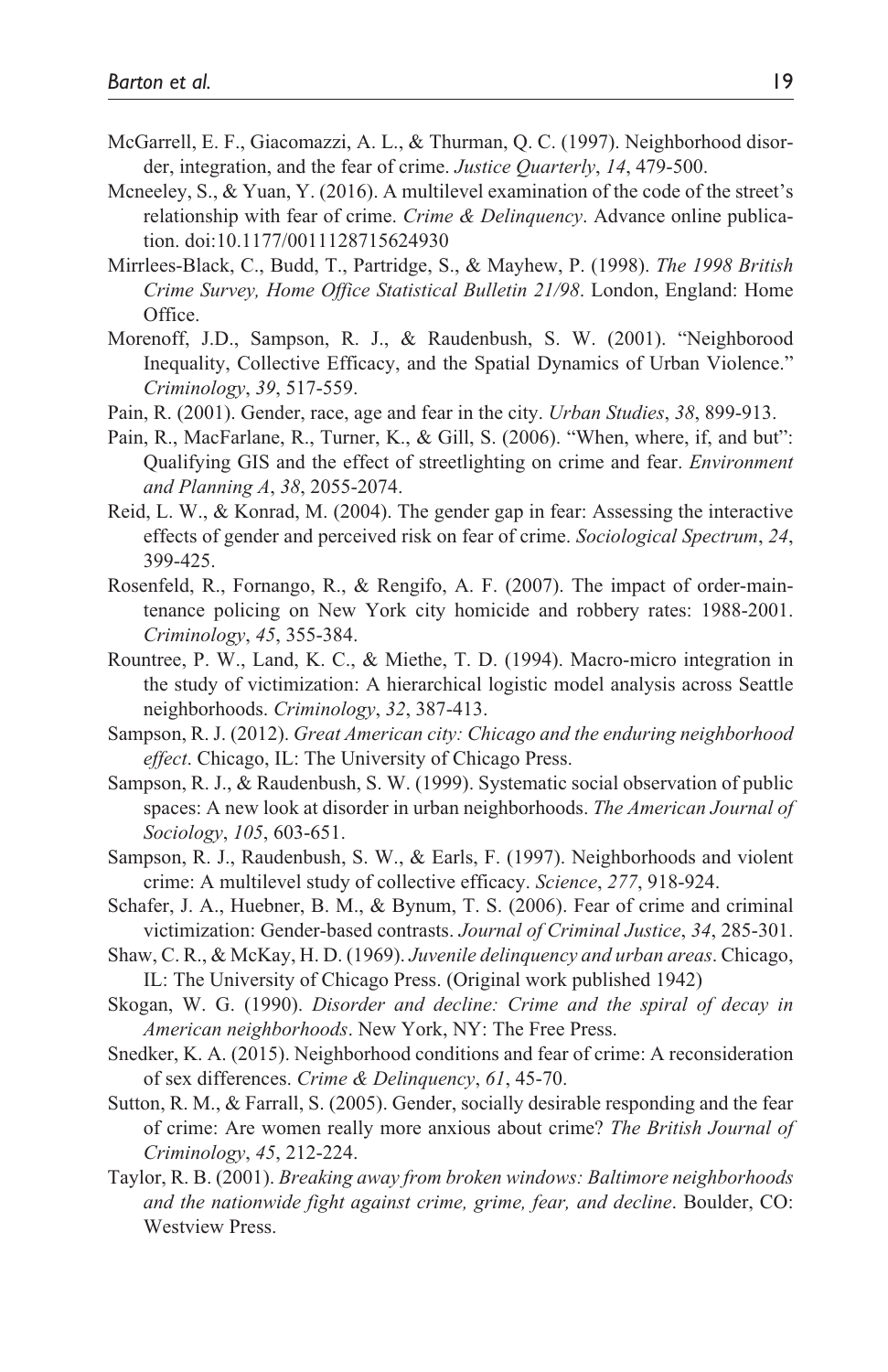- McGarrell, E. F., Giacomazzi, A. L., & Thurman, Q. C. (1997). Neighborhood disorder, integration, and the fear of crime. *Justice Quarterly*, *14*, 479-500.
- Mcneeley, S., & Yuan, Y. (2016). A multilevel examination of the code of the street's relationship with fear of crime. *Crime & Delinquency*. Advance online publication. doi:10.1177/0011128715624930
- Mirrlees-Black, C., Budd, T., Partridge, S., & Mayhew, P. (1998). *The 1998 British Crime Survey, Home Office Statistical Bulletin 21/98*. London, England: Home Office.
- Morenoff, J.D., Sampson, R. J., & Raudenbush, S. W. (2001). "Neighborood Inequality, Collective Efficacy, and the Spatial Dynamics of Urban Violence." *Criminology*, *39*, 517-559.
- Pain, R. (2001). Gender, race, age and fear in the city. *Urban Studies*, *38*, 899-913.
- Pain, R., MacFarlane, R., Turner, K., & Gill, S. (2006). "When, where, if, and but": Qualifying GIS and the effect of streetlighting on crime and fear. *Environment and Planning A*, *38*, 2055-2074.
- Reid, L. W., & Konrad, M. (2004). The gender gap in fear: Assessing the interactive effects of gender and perceived risk on fear of crime. *Sociological Spectrum*, *24*, 399-425.
- Rosenfeld, R., Fornango, R., & Rengifo, A. F. (2007). The impact of order-maintenance policing on New York city homicide and robbery rates: 1988-2001. *Criminology*, *45*, 355-384.
- Rountree, P. W., Land, K. C., & Miethe, T. D. (1994). Macro-micro integration in the study of victimization: A hierarchical logistic model analysis across Seattle neighborhoods. *Criminology*, *32*, 387-413.
- Sampson, R. J. (2012). *Great American city: Chicago and the enduring neighborhood effect*. Chicago, IL: The University of Chicago Press.
- Sampson, R. J., & Raudenbush, S. W. (1999). Systematic social observation of public spaces: A new look at disorder in urban neighborhoods. *The American Journal of Sociology*, *105*, 603-651.
- Sampson, R. J., Raudenbush, S. W., & Earls, F. (1997). Neighborhoods and violent crime: A multilevel study of collective efficacy. *Science*, *277*, 918-924.
- Schafer, J. A., Huebner, B. M., & Bynum, T. S. (2006). Fear of crime and criminal victimization: Gender-based contrasts. *Journal of Criminal Justice*, *34*, 285-301.
- Shaw, C. R., & McKay, H. D. (1969). *Juvenile delinquency and urban areas*. Chicago, IL: The University of Chicago Press. (Original work published 1942)
- Skogan, W. G. (1990). *Disorder and decline: Crime and the spiral of decay in American neighborhoods*. New York, NY: The Free Press.
- Snedker, K. A. (2015). Neighborhood conditions and fear of crime: A reconsideration of sex differences. *Crime & Delinquency*, *61*, 45-70.
- Sutton, R. M., & Farrall, S. (2005). Gender, socially desirable responding and the fear of crime: Are women really more anxious about crime? *The British Journal of Criminology*, *45*, 212-224.
- Taylor, R. B. (2001). *Breaking away from broken windows: Baltimore neighborhoods and the nationwide fight against crime, grime, fear, and decline*. Boulder, CO: Westview Press.